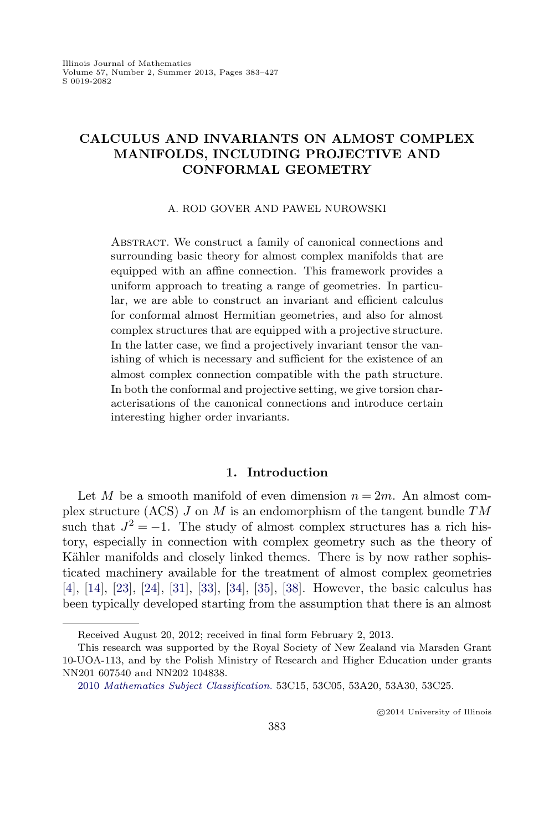# **CALCULUS AND INVARIANTS ON ALMOST COMPLEX MANIFOLDS, INCLUDING PROJECTIVE AND CONFORMAL GEOMETRY**

#### A. ROD GOVER AND PAWEL NUROWSKI

ABSTRACT. We construct a family of canonical connections and surrounding basic theory for almost complex manifolds that are equipped with an affine connection. This framework provides a uniform approach to treating a range of geometries. In particular, we are able to construct an invariant and efficient calculus for conformal almost Hermitian geometries, and also for almost complex structures that are equipped with a projective structure. In the latter case, we find a projectively invariant tensor the vanishing of which is necessary and sufficient for the existence of an almost complex connection compatible with the path structure. In both the conformal and projective setting, we give torsion characterisations of the canonical connections and introduce certain interesting higher order invariants.

### **1. Introduction**

Let M be a smooth manifold of even dimension  $n = 2m$ . An almost complex structure (ACS)  $J$  on  $M$  is an endomorphism of the tangent bundle  $TM$ such that  $J^2 = -1$ . The study of almost complex structures has a rich history, especially in connection with complex geometry such as the theory of Kähler manifolds and closely linked themes. There is by now rather sophisticated machinery available for the treatment of almost complex geometries [\[4\]](#page-42-0), [\[14\]](#page-43-0), [\[23\]](#page-43-0), [\[24\]](#page-43-0), [\[31\]](#page-44-0), [\[33\]](#page-44-0), [\[34\]](#page-44-0), [\[35\]](#page-44-0), [\[38\]](#page-44-0). However, the basic calculus has been typically developed starting from the assumption that there is an almost

Received August 20, 2012; received in final form February 2, 2013.

This research was supported by the Royal Society of New Zealand via Marsden Grant 10-UOA-113, and by the Polish Ministry of Research and Higher Education under grants NN201 607540 and NN202 104838.

<sup>2010</sup> [Mathematics Subject Classification.](http://www.ams.org/msc/) 53C15, 53C05, 53A20, 53A30, 53C25.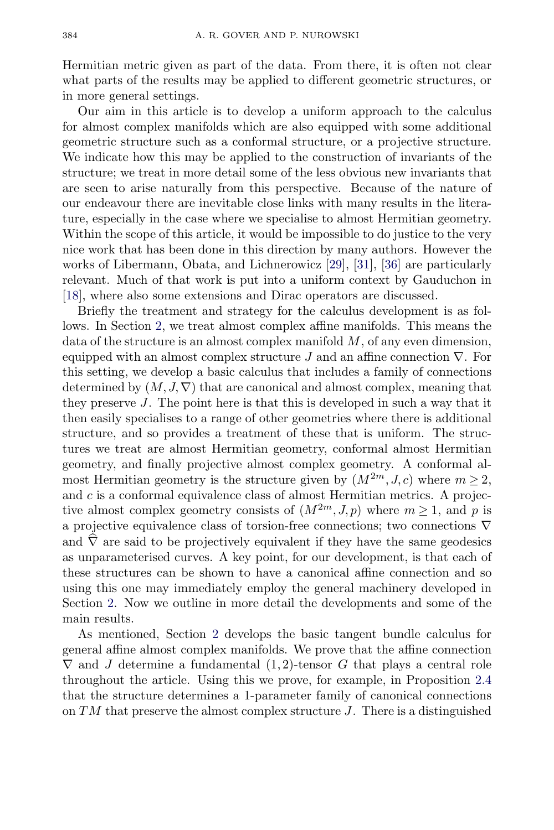Hermitian metric given as part of the data. From there, it is often not clear what parts of the results may be applied to different geometric structures, or in more general settings.

Our aim in this article is to develop a uniform approach to the calculus for almost complex manifolds which are also equipped with some additional geometric structure such as a conformal structure, or a projective structure. We indicate how this may be applied to the construction of invariants of the structure; we treat in more detail some of the less obvious new invariants that are seen to arise naturally from this perspective. Because of the nature of our endeavour there are inevitable close links with many results in the literature, especially in the case where we specialise to almost Hermitian geometry. Within the scope of this article, it would be impossible to do justice to the very nice work that has been done in this direction by many authors. However the works of Libermann, Obata, and Lichnerowicz [\[29\]](#page-44-0), [\[31\]](#page-44-0), [\[36\]](#page-44-0) are particularly relevant. Much of that work is put into a uniform context by Gauduchon in [\[18\]](#page-43-0), where also some extensions and Dirac operators are discussed.

Briefly the treatment and strategy for the calculus development is as follows. In Section [2,](#page-4-0) we treat almost complex affine manifolds. This means the data of the structure is an almost complex manifold  $M$ , of any even dimension, equipped with an almost complex structure J and an affine connection  $\nabla$ . For this setting, we develop a basic calculus that includes a family of connections determined by  $(M, J, \nabla)$  that are canonical and almost complex, meaning that they preserve J. The point here is that this is developed in such a way that it then easily specialises to a range of other geometries where there is additional structure, and so provides a treatment of these that is uniform. The structures we treat are almost Hermitian geometry, conformal almost Hermitian geometry, and finally projective almost complex geometry. A conformal almost Hermitian geometry is the structure given by  $(M^{2m}, J, c)$  where  $m \geq 2$ , and  $c$  is a conformal equivalence class of almost Hermitian metrics. A projective almost complex geometry consists of  $(M^{2m}, J, p)$  where  $m \ge 1$ , and p is a projective equivalence class of torsion-free connections; two connections ∇ and  $\nabla$  are said to be projectively equivalent if they have the same geodesics as unparameterised curves. A key point, for our development, is that each of these structures can be shown to have a canonical affine connection and so using this one may immediately employ the general machinery developed in Section [2.](#page-4-0) Now we outline in more detail the developments and some of the main results.

As mentioned, Section [2](#page-4-0) develops the basic tangent bundle calculus for general affine almost complex manifolds. We prove that the affine connection  $\nabla$  and J determine a fundamental  $(1, 2)$ -tensor G that plays a central role throughout the article. Using this we prove, for example, in Proposition [2.4](#page-6-0) that the structure determines a 1-parameter family of canonical connections on  $TM$  that preserve the almost complex structure J. There is a distinguished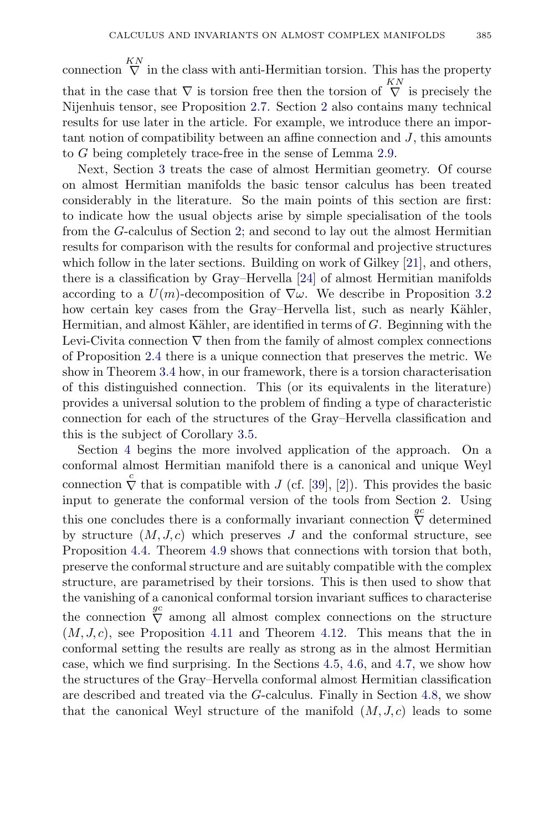connection  $\bigvee^{\text{KN}}$  in the class with anti-Hermitian torsion. This has the property that in the case that  $\nabla$  is torsion free then the torsion of  $\bigvee^{KN}$  is precisely the Nijenhuis tensor, see Proposition [2.7.](#page-7-0) Section [2](#page-4-0) also contains many technical results for use later in the article. For example, we introduce there an important notion of compatibility between an affine connection and  $J$ , this amounts to G being completely trace-free in the sense of Lemma [2.9.](#page-7-0)

Next, Section [3](#page-8-0) treats the case of almost Hermitian geometry. Of course on almost Hermitian manifolds the basic tensor calculus has been treated considerably in the literature. So the main points of this section are first: to indicate how the usual objects arise by simple specialisation of the tools from the G-calculus of Section [2;](#page-4-0) and second to lay out the almost Hermitian results for comparison with the results for conformal and projective structures which follow in the later sections. Building on work of Gilkey [\[21\]](#page-43-0), and others, there is a classification by Gray–Hervella [\[24\]](#page-43-0) of almost Hermitian manifolds according to a  $U(m)$ -decomposition of  $\nabla \omega$ . We describe in Proposition [3.2](#page-10-0) how certain key cases from the Gray–Hervella list, such as nearly Kähler, Hermitian, and almost Kähler, are identified in terms of  $G$ . Beginning with the Levi-Civita connection  $\nabla$  then from the family of almost complex connections of Proposition [2.4](#page-6-0) there is a unique connection that preserves the metric. We show in Theorem [3.4](#page-12-0) how, in our framework, there is a torsion characterisation of this distinguished connection. This (or its equivalents in the literature) provides a universal solution to the problem of finding a type of characteristic connection for each of the structures of the Gray–Hervella classification and this is the subject of Corollary [3.5.](#page-13-0)

Section [4](#page-13-0) begins the more involved application of the approach. On a conformal almost Hermitian manifold there is a canonical and unique Weyl connection  $\overline{\nabla}$  that is compatible with J (cf. [\[39\]](#page-44-0), [\[2\]](#page-42-0)). This provides the basic input to generate the conformal version of the tools from Section [2.](#page-4-0) Using this one concludes there is a conformally invariant connection  $\overline{\nabla}$  determined by structure  $(M, J, c)$  which preserves J and the conformal structure, see Proposition [4.4.](#page-15-0) Theorem [4.9](#page-18-0) shows that connections with torsion that both, preserve the conformal structure and are suitably compatible with the complex structure, are parametrised by their torsions. This is then used to show that the vanishing of a canonical conformal torsion invariant suffices to characterise the connection  $\overline{\nabla}$  among all almost complex connections on the structure  $(M, J, c)$ , see Proposition [4.11](#page-19-0) and Theorem [4.12.](#page-20-0) This means that the in conformal setting the results are really as strong as in the almost Hermitian case, which we find surprising. In the Sections [4.5,](#page-20-0) [4.6,](#page-21-0) and [4.7,](#page-22-0) we show how the structures of the Gray–Hervella conformal almost Hermitian classification are described and treated via the G-calculus. Finally in Section [4.8,](#page-23-0) we show that the canonical Weyl structure of the manifold  $(M, J, c)$  leads to some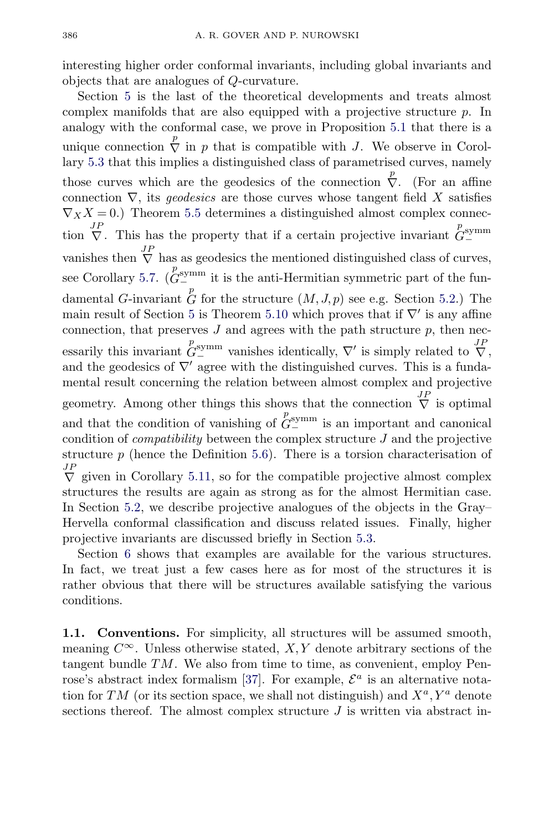interesting higher order conformal invariants, including global invariants and objects that are analogues of Q-curvature.

Section [5](#page-29-0) is the last of the theoretical developments and treats almost complex manifolds that are also equipped with a projective structure  $p$ . In analogy with the conformal case, we prove in Proposition [5.1](#page-30-0) that there is a unique connection  $\overline{\nabla}$  in p that is compatible with J. We observe in Corollary [5.3](#page-31-0) that this implies a distinguished class of parametrised curves, namely those curves which are the geodesics of the connection  $\overline{\nabla}$ . (For an affine connection  $\nabla$ , its *geodesics* are those curves whose tangent field X satisfies  $\nabla_X X = 0.$ ) Theorem [5.5](#page-32-0) determines a distinguished almost complex connection  $\nabla$ . This has the property that if a certain projective invariant  $\mathring{G}^{\text{symm}}_{-}$ − vanishes then  $\overline{V}$  has as geodesics the mentioned distinguished class of curves, see Corollary [5.7.](#page-33-0)  $\left(\mathcal{C}_{\text{--}}^{p_{\text{symm}}} \right)$  it is the anti-Hermitian symmetric part of the fundamental G-invariant  $\stackrel{p}{G}$  for the structure  $(M, J, p)$  see e.g. Section [5.2.](#page-36-0)) The main result of Section [5](#page-29-0) is Theorem [5.10](#page-34-0) which proves that if  $\nabla'$  is any affine connection, that preserves  $J$  and agrees with the path structure  $p$ , then necessarily this invariant  $G_{-}^{symm}$  vanishes identically,  $\nabla'$  is simply related to  $\overline{\nabla}$ , and the geodesics of  $\nabla'$  agree with the distinguished curves. This is a fundamental result concerning the relation between almost complex and projective geometry. Among other things this shows that the connection  $\bigvee^{JP}$  is optimal and that the condition of vanishing of  $G_{-}^{symm}$  is an important and canonical condition of *compatibility* between the complex structure  $J$  and the projective structure  $p$  (hence the Definition [5.6\)](#page-32-0). There is a torsion characterisation of  $\overline{\nabla}$  given in Corollary [5.11,](#page-35-0) so for the compatible projective almost complex structures the results are again as strong as for the almost Hermitian case. In Section [5.2,](#page-36-0) we describe projective analogues of the objects in the Gray– Hervella conformal classification and discuss related issues. Finally, higher projective invariants are discussed briefly in Section [5.3.](#page-36-0)

Section [6](#page-38-0) shows that examples are available for the various structures. In fact, we treat just a few cases here as for most of the structures it is rather obvious that there will be structures available satisfying the various conditions.

**1.1. Conventions.** For simplicity, all structures will be assumed smooth, meaning  $C^{\infty}$ . Unless otherwise stated, X, Y denote arbitrary sections of the tangent bundle  $TM$ . We also from time to time, as convenient, employ Pen-rose's abstract index formalism [\[37\]](#page-44-0). For example,  $\mathcal{E}^a$  is an alternative notation for TM (or its section space, we shall not distinguish) and  $X^a, Y^a$  denote sections thereof. The almost complex structure  $J$  is written via abstract in-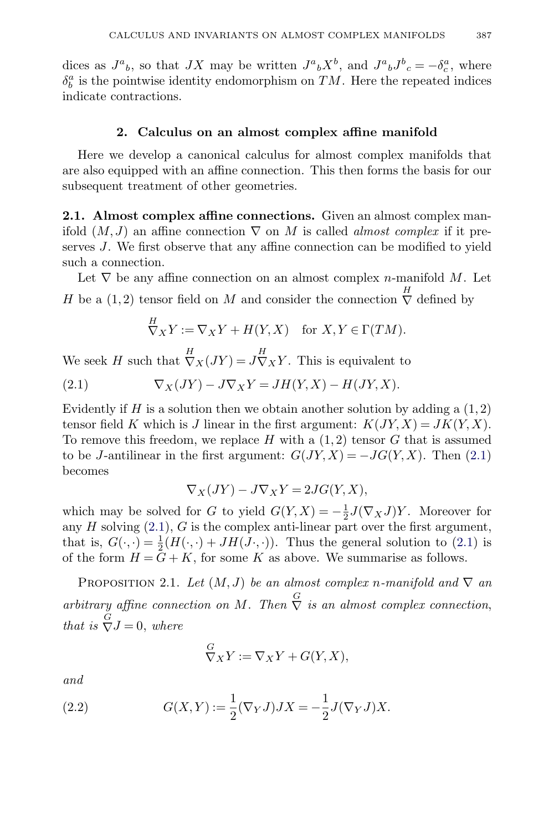<span id="page-4-0"></span>dices as  $J^a{}_b$ , so that  $JX$  may be written  $J^a{}_bX^b$ , and  $J^a{}_bJ^b{}_c = -\delta^a_c$ , where  $\delta^a_b$  is the pointwise identity endomorphism on  $TM.$  Here the repeated indices indicate contractions.

### **2. Calculus on an almost complex affine manifold**

Here we develop a canonical calculus for almost complex manifolds that are also equipped with an affine connection. This then forms the basis for our subsequent treatment of other geometries.

**2.1. Almost complex affine connections.** Given an almost complex manifold  $(M, J)$  an affine connection  $\nabla$  on M is called *almost complex* if it preserves J. We first observe that any affine connection can be modified to yield such a connection.

Let  $\nabla$  be any affine connection on an almost complex *n*-manifold M. Let H be a  $(1, 2)$  tensor field on M and consider the connection  $\sum_{n=1}^{H}$  defined by

$$
\nabla_X Y := \nabla_X Y + H(Y, X) \quad \text{for } X, Y \in \Gamma(TM).
$$

We seek H such that  $\overline{\nabla}_X(JY) = J\overline{\nabla}_XY$ . This is equivalent to

(2.1) 
$$
\nabla_X(JY) - J\nabla_X Y = JH(Y,X) - H(JY,X).
$$

Evidently if H is a solution then we obtain another solution by adding a  $(1, 2)$ tensor field K which is J linear in the first argument:  $K(JY, X) = JK(Y, X)$ . To remove this freedom, we replace  $H$  with a  $(1, 2)$  tensor  $G$  that is assumed to be J-antilinear in the first argument:  $G(JY, X) = -JG(Y, X)$ . Then (2.1) becomes

$$
\nabla_X(JY) - J\nabla_X Y = 2JG(Y, X),
$$

which may be solved for G to yield  $G(Y, X) = -\frac{1}{2}J(\nabla_X J)Y$ . Moreover for any  $H$  solving  $(2.1)$ ,  $G$  is the complex anti-linear part over the first argument, that is,  $G(\cdot, \cdot) = \frac{1}{2}(H(\cdot, \cdot) + JH(J \cdot, \cdot))$ . Thus the general solution to (2.1) is of the form  $H = G + K$ , for some K as above. We summarise as follows.

PROPOSITION 2.1. Let  $(M, J)$  be an almost complex n-manifold and  $\nabla$  an arbitrary affine connection on M. Then  $\overline{S}$  is an almost complex connection, that is  $\overline{\nabla}J=0$ , where

$$
\mathop{\nabla}_{X} Y := \mathop{\nabla}_{X} Y + G(Y, X),
$$

and

(2.2) 
$$
G(X,Y) := \frac{1}{2} (\nabla_Y J) JX = -\frac{1}{2} J(\nabla_Y J) X.
$$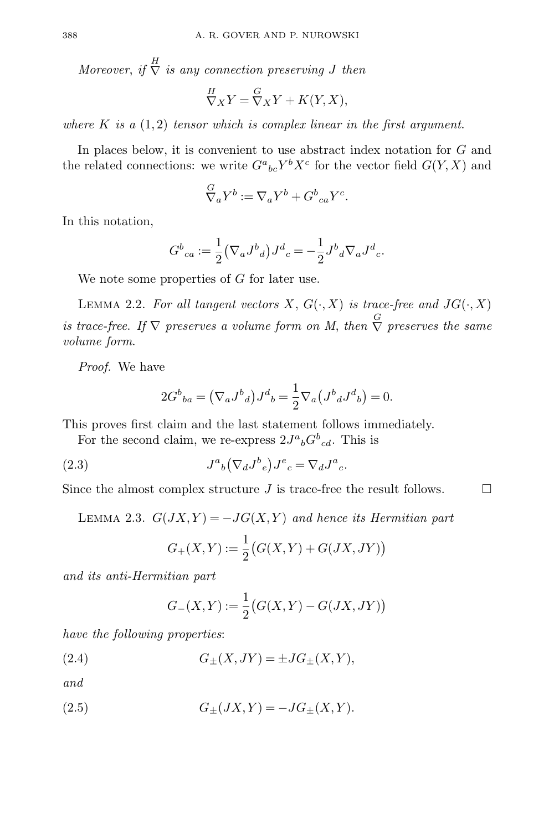<span id="page-5-0"></span>Moreover, if  $\stackrel{H}{\nabla}$  is any connection preserving J then

$$
\frac{H}{\nabla X}Y = \frac{G}{\nabla X}Y + K(Y, X),
$$

where K is a  $(1,2)$  tensor which is complex linear in the first argument.

In places below, it is convenient to use abstract index notation for G and the related connections: we write  $G^a{}_{bc}Y^bX^c$  for the vector field  $G(Y, X)$  and

$$
\nabla_a Y^b := \nabla_a Y^b + G^b{}_{ca} Y^c.
$$

In this notation,

$$
G^{b}{}_{ca} := \frac{1}{2} (\nabla_{a} J^{b}{}_{d}) J^{d}{}_{c} = -\frac{1}{2} J^{b}{}_{d} \nabla_{a} J^{d}{}_{c}.
$$

We note some properties of G for later use.

LEMMA 2.2. For all tangent vectors X,  $G(\cdot, X)$  is trace-free and  $JG(\cdot, X)$ is trace-free. If  $\nabla$  preserves a volume form on M, then  $\stackrel{G}{\nabla}$  preserves the same volume form.

Proof. We have

$$
2G^{b}{}_{ba} = (\nabla_{a} J^{b}{}_{d}) J^{d}{}_{b} = \frac{1}{2} \nabla_{a} (J^{b}{}_{d} J^{d}{}_{b}) = 0.
$$

This proves first claim and the last statement follows immediately.

For the second claim, we re-express  $2J^a{}_bG^b{}_{cd}$ . This is

(2.3) 
$$
J^a{}_b \left(\nabla_d J^b{}_e\right) J^e{}_c = \nabla_d J^a{}_c.
$$

Since the almost complex structure  $J$  is trace-free the result follows.  $\Box$ 

LEMMA 2.3.  $G(JX,Y) = -JG(X,Y)$  and hence its Hermitian part

$$
G_{+}(X,Y) := \frac{1}{2}(G(X,Y) + G(JX,JY))
$$

and its anti-Hermitian part

$$
G_{-}(X,Y) := \frac{1}{2} (G(X,Y) - G(JX,JY))
$$

have the following properties:

(2.4) 
$$
G_{\pm}(X, JY) = \pm J G_{\pm}(X, Y),
$$

and

(2.5) 
$$
G_{\pm}(JX,Y) = -JG_{\pm}(X,Y).
$$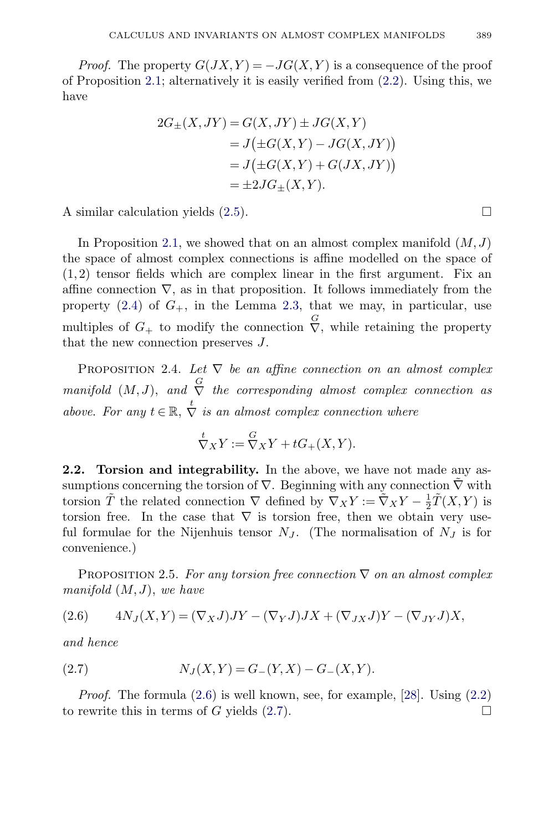<span id="page-6-0"></span>*Proof.* The property  $G(JX, Y) = -JG(X, Y)$  is a consequence of the proof of Proposition [2.1;](#page-4-0) alternatively it is easily verified from [\(2.2\)](#page-4-0). Using this, we have

$$
2G_{\pm}(X,JY) = G(X,JY) \pm JG(X,Y)
$$
  
=  $J(\pm G(X,Y) - JG(X,JY))$   
=  $J(\pm G(X,Y) + G(JX,JY))$   
=  $\pm 2JG_{\pm}(X,Y)$ .

A similar calculation yields  $(2.5)$ .

In Proposition [2.1,](#page-4-0) we showed that on an almost complex manifold  $(M,J)$ the space of almost complex connections is affine modelled on the space of  $(1, 2)$  tensor fields which are complex linear in the first argument. Fix an affine connection  $\nabla$ , as in that proposition. It follows immediately from the property  $(2.4)$  of  $G_+$ , in the Lemma [2.3,](#page-5-0) that we may, in particular, use multiples of  $G_+$  to modify the connection  $\overline{V}$ , while retaining the property that the new connection preserves J.

PROPOSITION 2.4. Let  $\nabla$  be an affine connection on an almost complex manifold  $(M, J)$ , and  $\stackrel{G}{\nabla}$  the corresponding almost complex connection as above. For any  $t \in \mathbb{R}$ ,  $\stackrel{t}{\nabla}$  is an almost complex connection where

$$
\stackrel{t}{\nabla}_X Y := \stackrel{G}{\nabla}_X Y + tG_+(X, Y).
$$

**2.2. Torsion and integrability.** In the above, we have not made any assumptions concerning the torsion of  $\nabla$ . Beginning with any connection  $\nabla$  with torsion  $\tilde{T}$  the related connection  $\nabla$  defined by  $\nabla_X Y := \tilde{\nabla}_X Y - \frac{1}{2} \tilde{T}(X, Y)$  is torsion free. In the case that  $\nabla$  is torsion free, then we obtain very useful formulae for the Nijenhuis tensor  $N_J$ . (The normalisation of  $N_J$  is for convenience.)

PROPOSITION 2.5. For any torsion free connection  $\nabla$  on an almost complex manifold  $(M, J)$ , we have

$$
(2.6) \qquad 4N_J(X,Y) = (\nabla_X J)JY - (\nabla_Y J)JX + (\nabla_{JX} J)Y - (\nabla_{JY} J)X,
$$

and hence

(2.7) 
$$
N_J(X,Y) = G_-(Y,X) - G_-(X,Y).
$$

*Proof.* The formula  $(2.6)$  is well known, see, for example,  $[28]$ . Using  $(2.2)$ to rewrite this in terms of G yields  $(2.7)$ .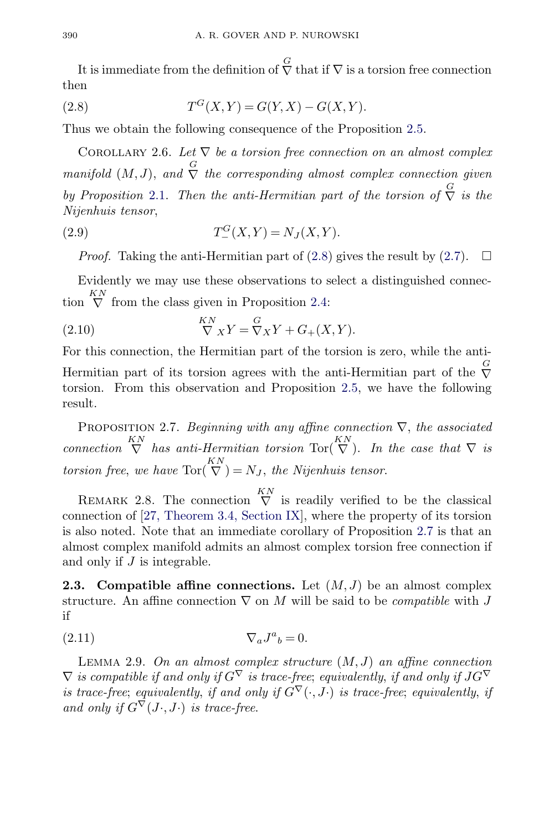<span id="page-7-0"></span>It is immediate from the definition of  $\bigtriangledown$  that if  $\nabla$  is a torsion free connection then

(2.8) 
$$
T^{G}(X,Y) = G(Y,X) - G(X,Y).
$$

Thus we obtain the following consequence of the Proposition [2.5.](#page-6-0)

COROLLARY 2.6. Let  $\nabla$  be a torsion free connection on an almost complex manifold  $(M, J)$ , and  $\overline{S}$  the corresponding almost complex connection given by Proposition [2.1.](#page-4-0) Then the anti-Hermitian part of the torsion of  $\overline{S}$  is the Nijenhuis tensor,

(2.9) 
$$
T_{-}^{G}(X,Y) = N_{J}(X,Y).
$$

*Proof.* Taking the anti-Hermitian part of (2.8) gives the result by [\(2.7\)](#page-6-0).  $\Box$ 

Evidently we may use these observations to select a distinguished connection  $\bigvee^{KN}$  from the class given in Proposition [2.4:](#page-6-0)

(2.10) 
$$
\nabla_X Y = \nabla_X Y + G_+(X, Y).
$$

For this connection, the Hermitian part of the torsion is zero, while the anti-Hermitian part of its torsion agrees with the anti-Hermitian part of the  $\stackrel{G}{\nabla}$ torsion. From this observation and Proposition [2.5,](#page-6-0) we have the following result.

PROPOSITION 2.7. Beginning with any affine connection  $\nabla$ , the associated connection  $\bigvee^{\text{KN}}$  has anti-Hermitian torsion Tor $\big(\bigvee^{\text{KN}}\big)$ . In the case that  $\nabla$  is torsion free, we have  $Tor(\bigvee^{KN}S) = N_J$ , the Nijenhuis tensor.

REMARK 2.8. The connection  $\bigvee^{KN}$  is readily verified to be the classical connection of [\[27, Theorem 3.4, Section IX\]](#page-43-0), where the property of its torsion is also noted. Note that an immediate corollary of Proposition 2.7 is that an almost complex manifold admits an almost complex torsion free connection if and only if  $J$  is integrable.

**2.3.** Compatible affine connections. Let  $(M, J)$  be an almost complex structure. An affine connection  $\nabla$  on M will be said to be *compatible* with J if

$$
\nabla_a J^a{}_b = 0.
$$

LEMMA 2.9. On an almost complex structure  $(M, J)$  an affine connection  $\nabla$  is compatible if and only if  $G^{\nabla}$  is trace-free; equivalently, if and only if  $JG^{\nabla}$ is trace-free; equivalently, if and only if  $\check{G}^{\nabla}(\cdot, \check{J}\cdot)$  is trace-free; equivalently, if and only if  $G^{\nabla}(J\cdot, J\cdot)$  is trace-free.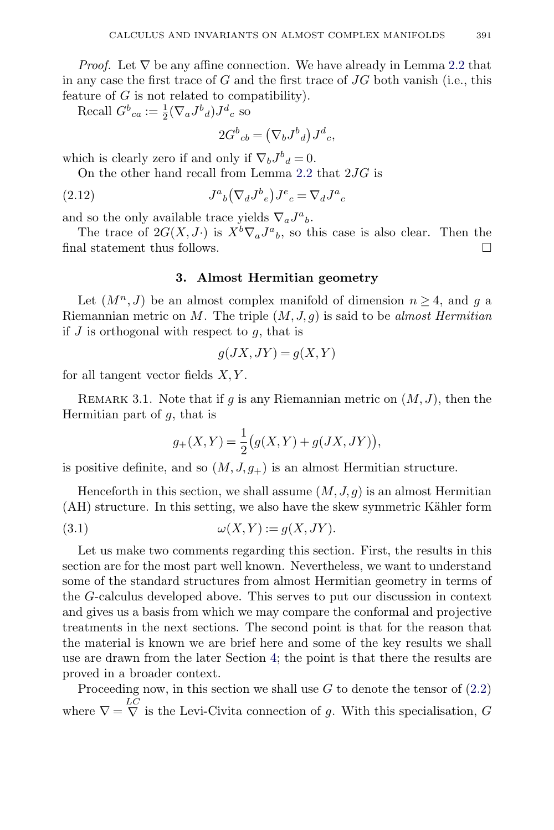<span id="page-8-0"></span>*Proof.* Let  $\nabla$  be any affine connection. We have already in Lemma [2.2](#page-5-0) that in any case the first trace of  $G$  and the first trace of  $JG$  both vanish (i.e., this feature of  $G$  is not related to compatibility).

Recall  $G^b{}_{ca} := \frac{1}{2} (\nabla_a J^b{}_d) J^d{}_c$  so

$$
2G^b{}_{cb} = (\nabla_b J^b{}_d) J^d{}_c,
$$

which is clearly zero if and only if  $\nabla_b J^b{}_d = 0$ .

On the other hand recall from Lemma [2.2](#page-5-0) that 2JG is

(2.12) 
$$
J^a{}_b \left(\nabla_d J^b{}_e\right) J^e{}_c = \nabla_d J^a{}_c
$$

and so the only available trace yields  $\nabla_a J^a{}_b$ .

The trace of  $2G(X, J \cdot)$  is  $X^b \nabla_a J^a{}_b$ , so this case is also clear. Then the final statement thus follows.  $\Box$ 

## **3. Almost Hermitian geometry**

Let  $(M^n, J)$  be an almost complex manifold of dimension  $n \geq 4$ , and q a Riemannian metric on M. The triple  $(M, J, g)$  is said to be almost Hermitian if  $J$  is orthogonal with respect to  $g$ , that is

$$
g(JX, JY) = g(X, Y)
$$

for all tangent vector fields  $X, Y$ .

REMARK 3.1. Note that if g is any Riemannian metric on  $(M,J)$ , then the Hermitian part of g, that is

$$
g_{+}(X,Y) = \frac{1}{2} (g(X,Y) + g(JX,JY)),
$$

is positive definite, and so  $(M, J, g<sub>+</sub>)$  is an almost Hermitian structure.

Henceforth in this section, we shall assume  $(M, J, g)$  is an almost Hermitian  $(AH)$  structure. In this setting, we also have the skew symmetric Kähler form

(3.1) 
$$
\omega(X,Y) := g(X,JY).
$$

Let us make two comments regarding this section. First, the results in this section are for the most part well known. Nevertheless, we want to understand some of the standard structures from almost Hermitian geometry in terms of the G-calculus developed above. This serves to put our discussion in context and gives us a basis from which we may compare the conformal and projective treatments in the next sections. The second point is that for the reason that the material is known we are brief here and some of the key results we shall use are drawn from the later Section [4;](#page-13-0) the point is that there the results are proved in a broader context.

Proceeding now, in this section we shall use  $G$  to denote the tensor of  $(2.2)$ where  $\nabla = \nabla$  is the Levi-Civita connection of g. With this specialisation, G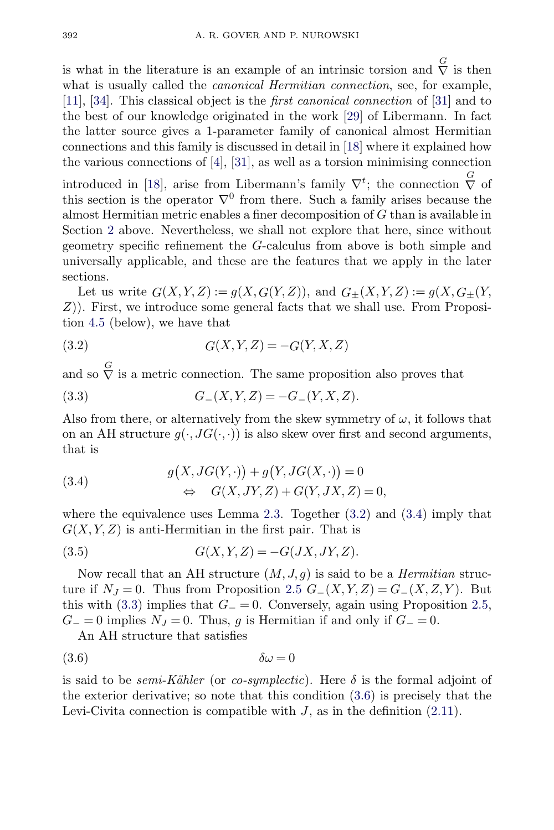<span id="page-9-0"></span>is what in the literature is an example of an intrinsic torsion and  $\overline{\nabla}$  is then what is usually called the *canonical Hermitian connection*, see, for example, [\[11\]](#page-43-0), [\[34\]](#page-44-0). This classical object is the first canonical connection of [\[31\]](#page-44-0) and to the best of our knowledge originated in the work [\[29\]](#page-44-0) of Libermann. In fact the latter source gives a 1-parameter family of canonical almost Hermitian connections and this family is discussed in detail in [\[18\]](#page-43-0) where it explained how the various connections of  $[4]$ ,  $[31]$ , as well as a torsion minimising connection

introduced in [\[18\]](#page-43-0), arise from Libermann's family  $\nabla^t$ ; the connection  $\stackrel{G}{\nabla}$  of this section is the operator  $\nabla^0$  from there. Such a family arises because the almost Hermitian metric enables a finer decomposition of G than is available in Section [2](#page-4-0) above. Nevertheless, we shall not explore that here, since without geometry specific refinement the G-calculus from above is both simple and universally applicable, and these are the features that we apply in the later sections.

Let us write  $G(X, Y, Z) := g(X, G(Y, Z))$ , and  $G_{\pm}(X, Y, Z) := g(X, G_{\pm}(Y, Z))$ Z)). First, we introduce some general facts that we shall use. From Proposition [4.5](#page-16-0) (below), we have that

$$
(3.2)\qquad \qquad G(X,Y,Z) = -G(Y,X,Z)
$$

and so  $\overline{\nabla}$  is a metric connection. The same proposition also proves that

(3.3) 
$$
G_{-}(X,Y,Z) = -G_{-}(Y,X,Z).
$$

Also from there, or alternatively from the skew symmetry of  $\omega$ , it follows that on an AH structure  $q(\cdot, JG(\cdot, \cdot))$  is also skew over first and second arguments, that is

(3.4) 
$$
g(X, JG(Y, \cdot)) + g(Y, JG(X, \cdot)) = 0
$$

$$
\Leftrightarrow G(X, JY, Z) + G(Y, JX, Z) = 0,
$$

where the equivalence uses Lemma [2.3.](#page-5-0) Together  $(3.2)$  and  $(3.4)$  imply that  $G(X, Y, Z)$  is anti-Hermitian in the first pair. That is

$$
(3.5) \tG(X,Y,Z) = -G(JX,JY,Z).
$$

Now recall that an AH structure  $(M, J, g)$  is said to be a *Hermitian* structure if  $N_J = 0$ . Thus from Proposition [2.5](#page-6-0)  $G_-(X, Y, Z) = G_-(X, Z, Y)$ . But this with (3.3) implies that  $G_$  = 0. Conversely, again using Proposition [2.5,](#page-6-0)  $G_0 = 0$  implies  $N_J = 0$ . Thus, g is Hermitian if and only if  $G_0 = 0$ .

An AH structure that satisfies

$$
(3.6) \t\t \delta\omega = 0
$$

is said to be *semi-Kähler* (or *co-symplectic*). Here  $\delta$  is the formal adjoint of the exterior derivative; so note that this condition (3.6) is precisely that the Levi-Civita connection is compatible with  $J$ , as in the definition  $(2.11)$ .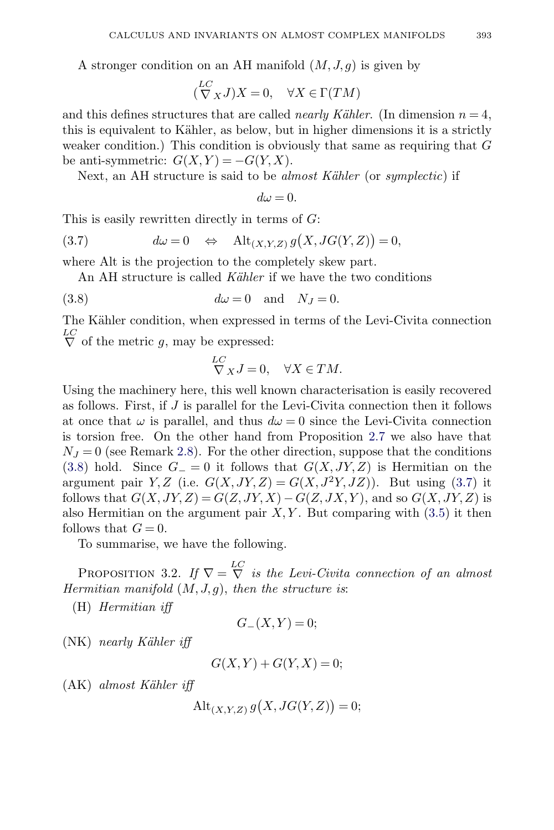<span id="page-10-0"></span>A stronger condition on an AH manifold  $(M, J, g)$  is given by

$$
(\stackrel{LC}{\nabla}_X J)X = 0, \quad \forall X \in \Gamma(TM)
$$

and this defines structures that are called *nearly Kähler*. (In dimension  $n = 4$ , this is equivalent to Kähler, as below, but in higher dimensions it is a strictly weaker condition.) This condition is obviously that same as requiring that G be anti-symmetric:  $G(X, Y) = -G(Y, X)$ .

Next, an AH structure is said to be *almost Kähler* (or *symplectic*) if

 $d\omega = 0.$ 

This is easily rewritten directly in terms of  $G$ :

(3.7) 
$$
d\omega = 0 \quad \Leftrightarrow \quad \text{Alt}_{(X,Y,Z)} g(X, JG(Y,Z)) = 0,
$$

where Alt is the projection to the completely skew part.

An AH structure is called Kähler if we have the two conditions

(3.8) 
$$
d\omega = 0 \text{ and } N_J = 0.
$$

The Kähler condition, when expressed in terms of the Levi-Civita connection  $\overline{\nabla}$  of the metric g, may be expressed:

$$
\stackrel{LC}{\nabla}_X J = 0, \quad \forall X \in TM.
$$

Using the machinery here, this well known characterisation is easily recovered as follows. First, if J is parallel for the Levi-Civita connection then it follows at once that  $\omega$  is parallel, and thus  $d\omega = 0$  since the Levi-Civita connection is torsion free. On the other hand from Proposition [2.7](#page-7-0) we also have that  $N_J = 0$  (see Remark [2.8\)](#page-7-0). For the other direction, suppose that the conditions (3.8) hold. Since  $G_ = 0$  it follows that  $G(X, JY, Z)$  is Hermitian on the argument pair Y, Z (i.e.  $G(X, JY, Z) = G(X, J^2Y, JZ)$ ). But using (3.7) it follows that  $G(X, JY, Z) = G(Z, JY, X) - G(Z, JX, Y)$ , and so  $G(X, JY, Z)$  is also Hermitian on the argument pair  $X, Y$ . But comparing with  $(3.5)$  it then follows that  $G = 0$ .

To summarise, we have the following.

PROPOSITION 3.2. If  $\nabla = \nabla^L$  is the Levi-Civita connection of an almost Hermitian manifold  $(M, J, g)$ , then the structure is:

(H) Hermitian iff

$$
G_{-}(X,Y)=0;
$$

 $(NK)$  nearly Kähler iff

$$
G(X,Y) + G(Y,X) = 0;
$$

 $(AK)$  almost Kähler iff

$$
\operatorname{Alt}_{(X,Y,Z)} g(X, JG(Y,Z)) = 0;
$$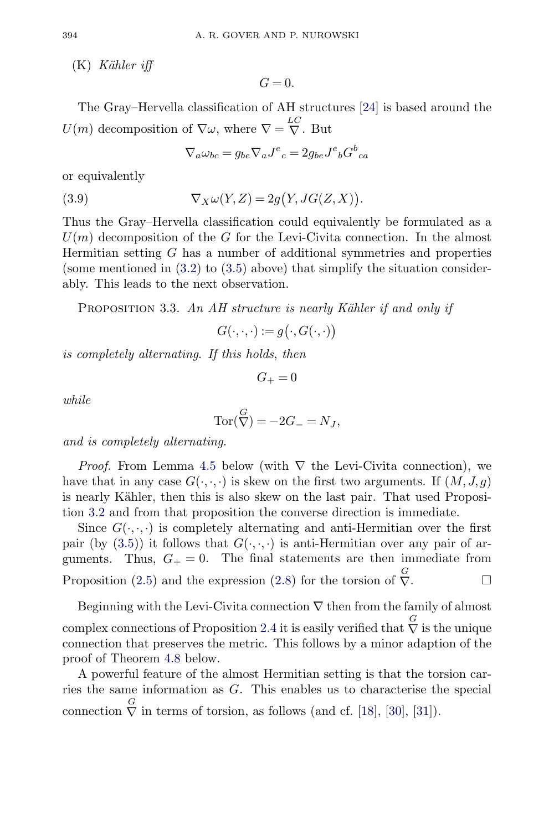<span id="page-11-0"></span> $(K)$  Kähler iff

 $G=0$ .

The Gray–Hervella classification of AH structures [\[24\]](#page-43-0) is based around the  $U(m)$  decomposition of  $\nabla \omega$ , where  $\nabla = \nabla \cdot$ . But

$$
\nabla_a \omega_{bc} = g_{be} \nabla_a J^e{}_c = 2g_{be} J^e{}_b G^b{}_{ca}
$$

or equivalently

(3.9) 
$$
\nabla_X \omega(Y, Z) = 2g(Y, JG(Z, X)).
$$

Thus the Gray–Hervella classification could equivalently be formulated as a  $U(m)$  decomposition of the G for the Levi-Civita connection. In the almost Hermitian setting G has a number of additional symmetries and properties (some mentioned in  $(3.2)$  to  $(3.5)$  above) that simplify the situation considerably. This leads to the next observation.

PROPOSITION 3.3. An AH structure is nearly Kähler if and only if

$$
G(\cdot,\cdot,\cdot):=g\big(\cdot,G(\cdot,\cdot)\big)
$$

is completely alternating. If this holds, then

 $G_{+} = 0$ 

while

$$
\operatorname{Tor}(\bigvee^G) = -2G_- = N_J,
$$

and is completely alternating.

*Proof.* From Lemma [4.5](#page-16-0) below (with  $\nabla$  the Levi-Civita connection), we have that in any case  $G(\cdot,\cdot,\cdot)$  is skew on the first two arguments. If  $(M, J, g)$ is nearly Kähler, then this is also skew on the last pair. That used Proposition [3.2](#page-10-0) and from that proposition the converse direction is immediate.

Since  $G(\cdot,\cdot,\cdot)$  is completely alternating and anti-Hermitian over the first pair (by [\(3.5\)](#page-9-0)) it follows that  $G(\cdot,\cdot,\cdot)$  is anti-Hermitian over any pair of arguments. Thus,  $G_+ = 0$ . The final statements are then immediate from Proposition [\(2.5\)](#page-6-0) and the expression [\(2.8\)](#page-7-0) for the torsion of  $\overline{V}$ .

Beginning with the Levi-Civita connection  $\nabla$  then from the family of almost complex connections of Proposition [2.4](#page-6-0) it is easily verified that  $\stackrel{G}{\nabla}$  is the unique connection that preserves the metric. This follows by a minor adaption of the proof of Theorem [4.8](#page-18-0) below.

A powerful feature of the almost Hermitian setting is that the torsion carries the same information as G. This enables us to characterise the special connection  $\overline{\nabla}$  in terms of torsion, as follows (and cf. [\[18\]](#page-43-0), [\[30\]](#page-44-0), [\[31\]](#page-44-0)).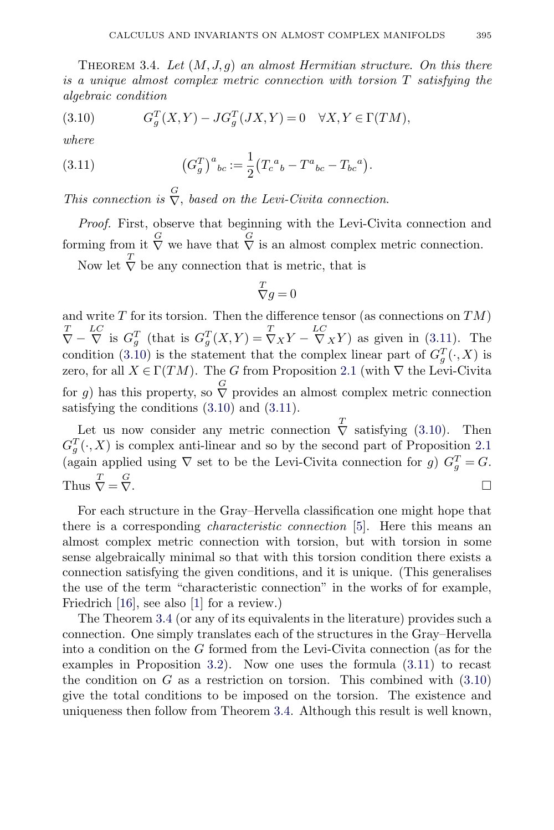<span id="page-12-0"></span>THEOREM 3.4. Let  $(M, J, g)$  an almost Hermitian structure. On this there is a unique almost complex metric connection with torsion T satisfying the algebraic condition

(3.10) 
$$
G_g^T(X,Y) - J G_g^T(JX,Y) = 0 \quad \forall X,Y \in \Gamma(TM),
$$

where

(3.11) 
$$
(G_g^T)^a{}_{bc} := \frac{1}{2} (T_c{}^a{}_b - T^a{}_{bc} - T_{bc}{}^a).
$$

This connection is  $\overline{\nabla}$ , based on the Levi-Civita connection.

Proof. First, observe that beginning with the Levi-Civita connection and forming from it  $\bigvee^G$  we have that  $\bigvee^G$  is an almost complex metric connection.

Now let  $\overline{\nabla}$  be any connection that is metric, that is

$$
\overset{T}{\nabla}g=0
$$

and write  $T$  for its torsion. Then the difference tensor (as connections on  $TM$ )  $\overline{\nabla} - \overline{\nabla}$  is  $G_g^T$  (that is  $G_g^T(X,Y) = \overline{\nabla}_X Y - \overline{\nabla}_X Y$ ) as given in (3.11). The condition (3.10) is the statement that the complex linear part of  $G_g^T(\cdot, X)$  is zero, for all  $X \in \Gamma(TM)$ . The G from Proposition [2.1](#page-4-0) (with  $\nabla$  the Levi-Civita for g) has this property, so  $\bigtriangledown$  provides an almost complex metric connection satisfying the conditions (3.10) and (3.11).

Let us now consider any metric connection  $\overline{\nabla}$  satisfying (3.10). Then  $G_g^T(\cdot, X)$  is complex anti-linear and so by the second part of Proposition [2.1](#page-4-0) (again applied using  $\nabla$  set to be the Levi-Civita connection for g)  $G_g^T = G$ . Thus  $\overline{\nabla} = \frac{G}{\nabla}$  $\nabla$ .

For each structure in the Gray–Hervella classification one might hope that there is a corresponding characteristic connection [\[5\]](#page-42-0). Here this means an almost complex metric connection with torsion, but with torsion in some sense algebraically minimal so that with this torsion condition there exists a connection satisfying the given conditions, and it is unique. (This generalises the use of the term "characteristic connection" in the works of for example, Friedrich [\[16\]](#page-43-0), see also [\[1\]](#page-42-0) for a review.)

The Theorem 3.4 (or any of its equivalents in the literature) provides such a connection. One simply translates each of the structures in the Gray–Hervella into a condition on the G formed from the Levi-Civita connection (as for the examples in Proposition [3.2\)](#page-10-0). Now one uses the formula (3.11) to recast the condition on  $G$  as a restriction on torsion. This combined with  $(3.10)$ give the total conditions to be imposed on the torsion. The existence and uniqueness then follow from Theorem 3.4. Although this result is well known,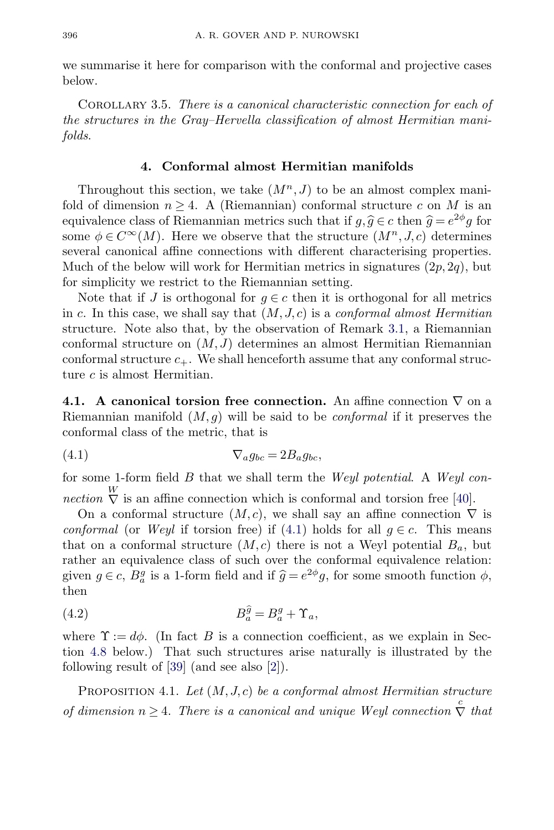<span id="page-13-0"></span>we summarise it here for comparison with the conformal and projective cases below.

COROLLARY 3.5. There is a canonical characteristic connection for each of the structures in the Gray–Hervella classification of almost Hermitian manifolds.

# **4. Conformal almost Hermitian manifolds**

Throughout this section, we take  $(M^n, J)$  to be an almost complex manifold of dimension  $n \geq 4$ . A (Riemannian) conformal structure c on M is an equivalence class of Riemannian metrics such that if  $g, \hat{g} \in c$  then  $\hat{g} = e^{2\phi}g$  for some  $\phi \in C^{\infty}(M)$ . Here we observe that the structure  $(M^{n}, J, c)$  determines several canonical affine connections with different characterising properties. Much of the below will work for Hermitian metrics in signatures  $(2p, 2q)$ , but for simplicity we restrict to the Riemannian setting.

Note that if J is orthogonal for  $g \in c$  then it is orthogonal for all metrics in c. In this case, we shall say that  $(M, J, c)$  is a conformal almost Hermitian structure. Note also that, by the observation of Remark [3.1,](#page-8-0) a Riemannian conformal structure on  $(M, J)$  determines an almost Hermitian Riemannian conformal structure  $c_{+}$ . We shall henceforth assume that any conformal structure c is almost Hermitian.

**4.1. A canonical torsion free connection.** An affine connection ∇ on a Riemannian manifold  $(M, q)$  will be said to be *conformal* if it preserves the conformal class of the metric, that is

$$
\nabla_a g_{bc} = 2B_a g_{bc},
$$

for some 1-form field  $B$  that we shall term the *Weyl potential*. A *Weyl connection*  $\stackrel{W}{\nabla}$  is an affine connection which is conformal and torsion free [\[40\]](#page-44-0).

On a conformal structure  $(M, c)$ , we shall say an affine connection  $\nabla$  is conformal (or Weyl if torsion free) if (4.1) holds for all  $q \in c$ . This means that on a conformal structure  $(M, c)$  there is not a Weyl potential  $B_a$ , but rather an equivalence class of such over the conformal equivalence relation: given  $g \in c$ ,  $B_a^g$  is a 1-form field and if  $\hat{g} = e^{2\phi}g$ , for some smooth function  $\phi$ , then

$$
(4.2) \t\t B_a^{\hat{g}} = B_a^g + \Upsilon_a,
$$

where  $\Upsilon := d\phi$ . (In fact B is a connection coefficient, as we explain in Section [4.8](#page-23-0) below.) That such structures arise naturally is illustrated by the following result of [\[39\]](#page-44-0) (and see also [\[2\]](#page-42-0)).

PROPOSITION 4.1. Let  $(M, J, c)$  be a conformal almost Hermitian structure of dimension  $n \geq 4$ . There is a canonical and unique Weyl connection  $\stackrel{c}{\nabla}$  that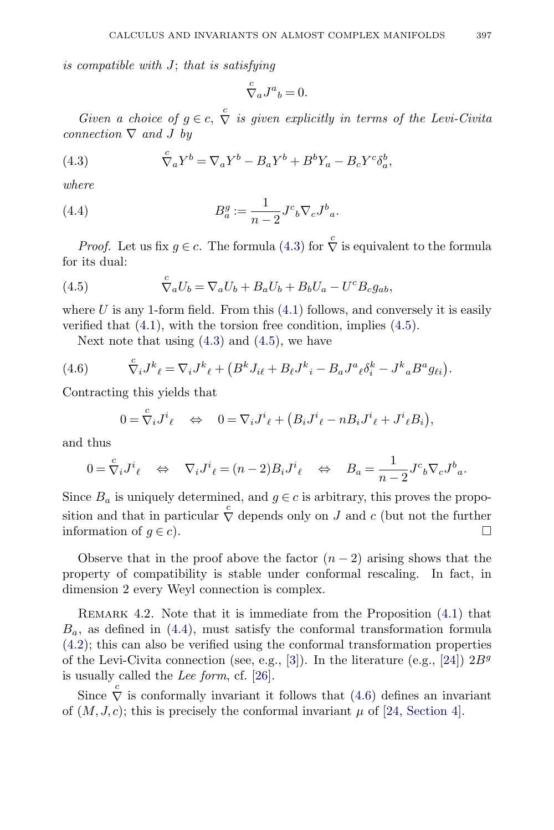<span id="page-14-0"></span>is compatible with J; that is satisfying

$$
{\stackrel{c}\nabla}{}_a J^a{}_b = 0.
$$

Given a choice of  $g \in c$ ,  $\stackrel{c}{\nabla}$  is given explicitly in terms of the Levi-Civita connection  $\nabla$  and J by

(4.3) 
$$
\nabla_a Y^b = \nabla_a Y^b - B_a Y^b + B^b Y_a - B_c Y^c \delta_a^b,
$$

where

(4.4) 
$$
B_a^g := \frac{1}{n-2} J^c{}_b \nabla_c J^b{}_a.
$$

*Proof.* Let us fix  $g \in c$ . The formula (4.3) for  $\overline{\nabla}$  is equivalent to the formula for its dual:

(4.5) 
$$
\nabla_a U_b = \nabla_a U_b + B_a U_b + B_b U_a - U^c B_c g_{ab},
$$

where  $U$  is any 1-form field. From this  $(4.1)$  follows, and conversely it is easily verified that [\(4.1\)](#page-13-0), with the torsion free condition, implies (4.5).

Next note that using  $(4.3)$  and  $(4.5)$ , we have

(4.6) 
$$
\nabla_i J^k{}_{\ell} = \nabla_i J^k{}_{\ell} + (B^k J_{i\ell} + B_{\ell} J^k{}_{i} - B_a J^a{}_{\ell} \delta^k_{i} - J^k{}_{a} B^a g_{\ell i}).
$$

Contracting this yields that

$$
0 = \nabla_i J^i{}_{\ell} \quad \Leftrightarrow \quad 0 = \nabla_i J^i{}_{\ell} + (B_i J^i{}_{\ell} - n B_i J^i{}_{\ell} + J^i{}_{\ell} B_i),
$$

and thus

$$
0 = \nabla_i J^i{}_{\ell} \quad \Leftrightarrow \quad \nabla_i J^i{}_{\ell} = (n-2) B_i J^i{}_{\ell} \quad \Leftrightarrow \quad B_a = \frac{1}{n-2} J^c{}_b \nabla_c J^b{}_a.
$$

Since  $B_a$  is uniquely determined, and  $g \in c$  is arbitrary, this proves the proposition and that in particular  $\overline{\nabla}$  depends only on J and c (but not the further information of  $q \in c$ ).

Observe that in the proof above the factor  $(n-2)$  arising shows that the property of compatibility is stable under conformal rescaling. In fact, in dimension 2 every Weyl connection is complex.

Remark 4.2. Note that it is immediate from the Proposition [\(4.1\)](#page-13-0) that  $B_a$ , as defined in (4.4), must satisfy the conformal transformation formula [\(4.2\)](#page-13-0); this can also be verified using the conformal transformation properties of the Levi-Civita connection (see, e.g., [\[3\]](#page-42-0)). In the literature (e.g., [\[24\]](#page-43-0))  $2B<sup>g</sup>$ is usually called the Lee form, cf. [\[26\]](#page-43-0).

Since  $\overrightarrow{\nabla}$  is conformally invariant it follows that (4.6) defines an invariant of  $(M, J, c)$ ; this is precisely the conformal invariant  $\mu$  of [\[24, Section 4\]](#page-43-0).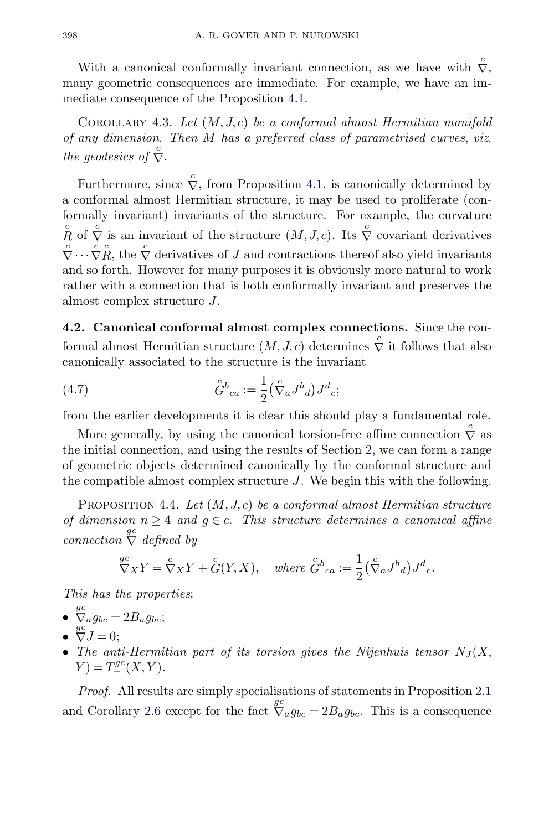<span id="page-15-0"></span>With a canonical conformally invariant connection, as we have with  $\overline{\nabla}$ , many geometric consequences are immediate. For example, we have an immediate consequence of the Proposition [4.1.](#page-13-0)

COROLLARY 4.3. Let  $(M, J, c)$  be a conformal almost Hermitian manifold of any dimension. Then M has a preferred class of parametrised curves, viz. the geodesics of  $\stackrel{c}{\nabla}$ .

Furthermore, since  $\overline{\nabla}$ , from Proposition [4.1,](#page-13-0) is canonically determined by a conformal almost Hermitian structure, it may be used to proliferate (conformally invariant) invariants of the structure. For example, the curvature c <sup>R</sup> of <sup>c</sup> <sup>∇</sup> is an invariant of the structure (M, J, c). Its <sup>c</sup> <sup>∇</sup> covariant derivatives <sup>c</sup>  $\overline{\nabla} \cdots \overline{\nabla} \overline{R}$ , the  $\overline{\nabla}$  derivatives of J and contractions thereof also yield invariants and so forth. However for many purposes it is obviously more natural to work rather with a connection that is both conformally invariant and preserves the almost complex structure J.

**4.2. Canonical conformal almost complex connections.** Since the conformal almost Hermitian structure  $(M, J, c)$  determines  $\stackrel{c}{\nabla}$  it follows that also canonically associated to the structure is the invariant

(4.7) 
$$
\overset{c}{G}{}^b{}_{ca} := \frac{1}{2} \left( \overset{c}{\nabla}_a J^b{}_{d} \right) J^d{}_{c};
$$

from the earlier developments it is clear this should play a fundamental role.

More generally, by using the canonical torsion-free affine connection  $\stackrel{c}{\nabla}$  as the initial connection, and using the results of Section [2,](#page-4-0) we can form a range of geometric objects determined canonically by the conformal structure and the compatible almost complex structure J. We begin this with the following.

PROPOSITION 4.4. Let  $(M, J, c)$  be a conformal almost Hermitian structure of dimension  $n \geq 4$  and  $g \in c$ . This structure determines a canonical affine  $\sum_{c\text{connection}}^{gc} \overline{\nabla}$  defined by

$$
\mathop{\nabla}\limits^{gc}{}_{X}Y = \mathop{\nabla}\limits^{c}{}_{X}Y + \mathop{\nabla}\limits^{c}{}(Y,X), \quad \text{where } \mathop{\nabla}\limits^{c}{}_{ca} := \frac{1}{2} \left( \mathop{\nabla}\limits^{c}{}_{a}J^{b}{}_{d} \right) J^{d}{}_{c}.
$$

This has the properties:

- $\int_{a}^{gc} g_{bc} = 2B_{a}g_{bc};$
- $\overline{\nabla}J=0;$
- The anti-Hermitian part of its torsion gives the Nijenhuis tensor  $N_J(X,$  $Y) = T_{-}^{gc}(X, Y).$

Proof. All results are simply specialisations of statements in Proposition [2.1](#page-4-0) and Corollary [2.6](#page-7-0) except for the fact  $\oint c_a g_{bc} = 2B_a g_{bc}$ . This is a consequence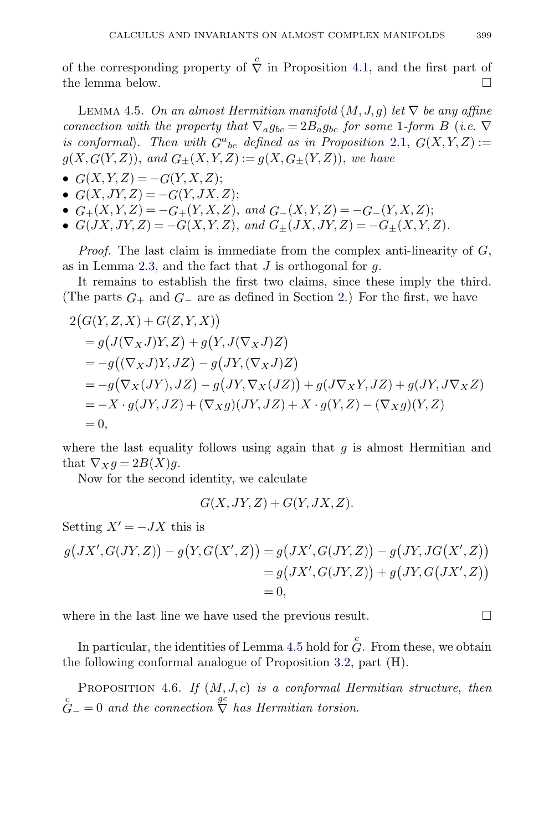<span id="page-16-0"></span>of the corresponding property of  $\stackrel{c}{\nabla}$  in Proposition [4.1,](#page-13-0) and the first part of the lemma below.

LEMMA 4.5. On an almost Hermitian manifold  $(M, J, g)$  let  $\nabla$  be any affine connection with the property that  $\nabla_a g_{bc} = 2B_a g_{bc}$  for some 1-form B (i.e.  $\nabla$ is conformal). Then with  $G^a{}_{bc}$  defined as in Proposition [2.1,](#page-4-0)  $G(X, Y, Z) :=$  $g(X, G(Y, Z)),$  and  $G_{\pm}(X, Y, Z) := g(X, G_{\pm}(Y, Z)),$  we have

$$
\bullet \ \ G(X,Y,Z) = -G(Y,X,Z);
$$

- $G(X, JY, Z) = -G(Y, JX, Z);$
- $G_{+}(X, Y, Z) = -G_{+}(Y, X, Z)$ , and  $G_{-}(X, Y, Z) = -G_{-}(Y, X, Z)$ ;
- $G(JX, JY, Z) = -G(X, Y, Z)$ , and  $G_{\pm}(JX, JY, Z) = -G_{\pm}(X, Y, Z)$ .

*Proof.* The last claim is immediate from the complex anti-linearity of  $G$ , as in Lemma [2.3,](#page-5-0) and the fact that  $J$  is orthogonal for  $q$ .

It remains to establish the first two claims, since these imply the third. (The parts  $G_+$  and  $G_-$  are as defined in Section [2.](#page-4-0)) For the first, we have

$$
2(G(Y, Z, X) + G(Z, Y, X))
$$
  
=  $g(J(\nabla_X J)Y, Z) + g(Y, J(\nabla_X J)Z)$   
=  $-g((\nabla_X J)Y, JZ) - g(JY, (\nabla_X J)Z)$   
=  $-g(\nabla_X (JY), JZ) - g(JY, \nabla_X (JZ)) + g(J\nabla_X Y, JZ) + g(JY, J\nabla_X Z)$   
=  $-X \cdot g(JY, JZ) + (\nabla_X g)(JY, JZ) + X \cdot g(Y, Z) - (\nabla_X g)(Y, Z)$   
= 0,

where the last equality follows using again that  $q$  is almost Hermitian and that  $\nabla_X g = 2B(X)g$ .

Now for the second identity, we calculate

$$
G(X, JY, Z) + G(Y, JX, Z).
$$

Setting  $X' = -JX$  this is

$$
g(JX', G(JY, Z)) - g(Y, G(X', Z)) = g(JX', G(JY, Z)) - g(JY, JG(X', Z))
$$
  
=  $g(JX', G(JY, Z)) + g(JY, G(JX', Z))$   
= 0,

where in the last line we have used the previous result.  $\Box$ 

In particular, the identities of Lemma 4.5 hold for  $\overset{c}{G}$ . From these, we obtain the following conformal analogue of Proposition [3.2,](#page-10-0) part (H).

PROPOSITION 4.6. If  $(M, J, c)$  is a conformal Hermitian structure, then  $G_{-}^{c} = 0$  and the connection  $\stackrel{gc}{\nabla}$  has Hermitian torsion.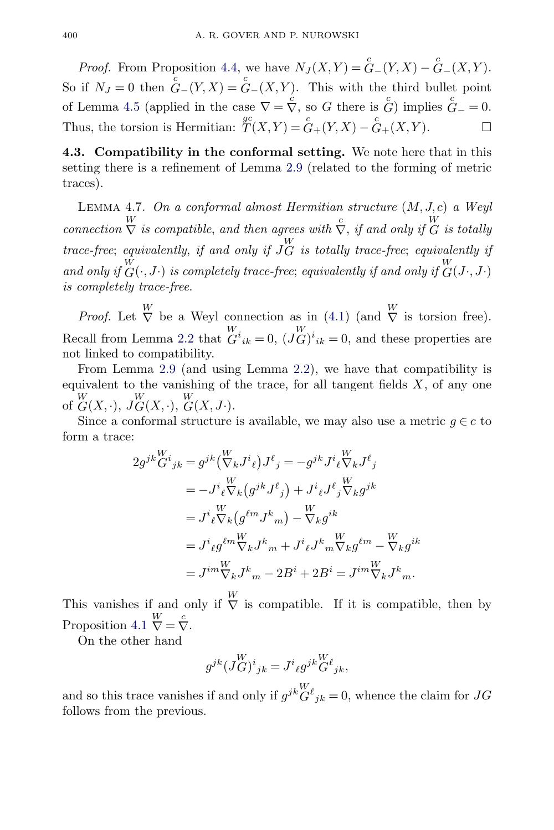<span id="page-17-0"></span>*Proof.* From Proposition [4.4,](#page-15-0) we have  $N_J(X,Y) = \overset{c}{G}-(Y,X) - \overset{c}{G}-(X,Y)$ . So if  $N_J = 0$  then  $G-(Y,X) = G-(X,Y)$ . This with the third bullet point of Lemma [4.5](#page-16-0) (applied in the case  $\nabla = \overline{\nabla}$ , so G there is  $\overline{G}$ ) implies  $\overline{G}_{-} = 0$ . Thus, the torsion is Hermitian:  $T(X,Y) = G_+(Y,X) - G_+(X,Y)$ .

**4.3. Compatibility in the conformal setting.** We note here that in this setting there is a refinement of Lemma [2.9](#page-7-0) (related to the forming of metric traces).

LEMMA 4.7. On a conformal almost Hermitian structure  $(M, J, c)$  a Weyl connection  $\stackrel{W}{\nabla}$  is compatible, and then agrees with  $\stackrel{c}{\nabla}$ , if and only if  $\stackrel{W}{G}$  is totally trace-free; equivalently, if and only if  $J_G^W$  is totally trace-free; equivalently if and only if  $G(\cdot, J \cdot)$  is completely trace-free; equivalently if and only if  $G(J \cdot, J \cdot)$ is completely trace-free.

*Proof.* Let  $\stackrel{W}{\nabla}$  be a Weyl connection as in [\(4.1\)](#page-13-0) (and  $\stackrel{W}{\nabla}$  is torsion free). Recall from Lemma [2.2](#page-5-0) that  $G^{i}_{ik} = 0$ ,  $(JG)^{i}_{ik} = 0$ , and these properties are not linked to compatibility.

From Lemma [2.9](#page-7-0) (and using Lemma [2.2\)](#page-5-0), we have that compatibility is equivalent to the vanishing of the trace, for all tangent fields  $X$ , of any one of  $G(X, \cdot), JG(X, \cdot), G(X, J\cdot).$ W

Since a conformal structure is available, we may also use a metric  $g \in c$  to form a trace:

$$
2g^{jk}\overset{W}{G}^{i}_{jk} = g^{jk}(\overset{W}{\nabla}_{k}J^{i}_{\ell})J^{\ell}_{j} = -g^{jk}J^{i}_{\ell}\overset{W}{\nabla}_{k}J^{\ell}_{j}
$$
  
\n
$$
= -J^{i}_{\ell}\overset{W}{\nabla}_{k}\left(g^{jk}J^{\ell}_{j}\right) + J^{i}_{\ell}J^{\ell}_{j}\overset{W}{\nabla}_{k}g^{jk}
$$
  
\n
$$
= J^{i}_{\ell}\overset{W}{\nabla}_{k}\left(g^{\ell m}J^{k}_{m}\right) - \overset{W}{\nabla}_{k}g^{ik}
$$
  
\n
$$
= J^{i}_{\ell}g^{\ell m}\overset{W}{\nabla}_{k}J^{k}_{m} + J^{i}_{\ell}J^{k}_{m}\overset{W}{\nabla}_{k}g^{\ell m} - \overset{W}{\nabla}_{k}g^{ik}
$$
  
\n
$$
= J^{im}\overset{W}{\nabla}_{k}J^{k}_{m} - 2B^{i} + 2B^{i} = J^{im}\overset{W}{\nabla}_{k}J^{k}_{m}.
$$

This vanishes if and only if  $\bigvee^W$  is compatible. If it is compatible, then by Proposition [4.1](#page-13-0)  $\stackrel{W}{\nabla} = \stackrel{c}{\nabla}$ .

On the other hand

$$
g^{jk}(J^W_G)^i{}_{jk} = J^i{}_{\ell}g^{jk}{}_G^W_{\ \ jk},
$$

and so this trace vanishes if and only if  $g^{jk}\overset{W}{G}{}^{\ell}{}_{jk} = 0$ , whence the claim for  $JG$ follows from the previous.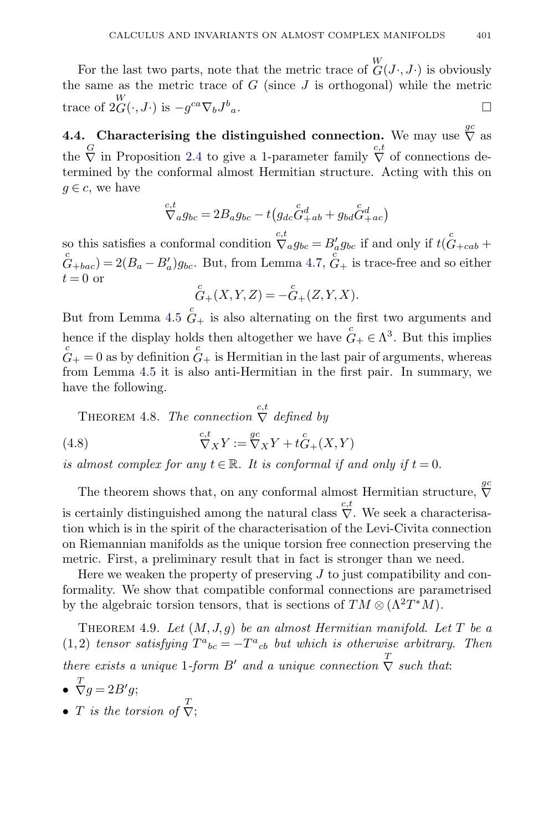<span id="page-18-0"></span>For the last two parts, note that the metric trace of  $\mathcal{C}(J\cdot, J\cdot)$  is obviously the same as the metric trace of  $G$  (since  $J$  is orthogonal) while the metric trace of  $2\overset{W}{G}(\cdot, J\cdot)$  is  $-g^{ca}\nabla_b J^b$  $a \cdot$ 

**4.4.** Characterising the distinguished connection. We may use  $\overline{\nabla}$  as the  $\stackrel{G}{\nabla}$  in Proposition [2.4](#page-6-0) to give a 1-parameter family  $\stackrel{c,t}{\nabla}$  of connections determined by the conformal almost Hermitian structure. Acting with this on  $q \in \mathcal{C}$ , we have

$$
\nabla_{a}^{c,t} g_{bc} = 2B_{a}g_{bc} - t(g_{dc}\hat{G}_{+ab}^{d} + g_{bd}\hat{G}_{+ac}^{d})
$$

so this satisfies a conformal condition  $\overline{\nabla}_a g_{bc} = B'_a g_{bc}$  if and only if  $t(\overset{c}{G}_{+cab} +$  $G_{+bac} = 2(B_a - B'_a)g_{bc}$ . But, from Lemma [4.7,](#page-17-0)  $G_{+}$  is trace-free and so either  $t = 0$  or

$$
\overset{c}{G}_{+}(X,Y,Z) = -\overset{c}{G}_{+}(Z,Y,X).
$$

But from Lemma [4.5](#page-16-0)  $G<sub>+</sub>$  is also alternating on the first two arguments and hence if the display holds then altogether we have  $G_+ \in \Lambda^3$ . But this implies  $G_+ = 0$  as by definition  $G_+$  is Hermitian in the last pair of arguments, whereas from Lemma [4.5](#page-16-0) it is also anti-Hermitian in the first pair. In summary, we have the following.

THEOREM 4.8. The connection  $\stackrel{c,t}{\nabla}$  defined by

(4.8) 
$$
\nabla_X Y := \nabla_X Y + t \hat{G}_+(X, Y)
$$

is almost complex for any  $t \in \mathbb{R}$ . It is conformal if and only if  $t = 0$ .

The theorem shows that, on any conformal almost Hermitian structure,  $\stackrel{gc}{\nabla}$ is certainly distinguished among the natural class  $\stackrel{c,t}{\nabla}$ . We seek a characterisation which is in the spirit of the characterisation of the Levi-Civita connection on Riemannian manifolds as the unique torsion free connection preserving the metric. First, a preliminary result that in fact is stronger than we need.

Here we weaken the property of preserving  $J$  to just compatibility and conformality. We show that compatible conformal connections are parametrised by the algebraic torsion tensors, that is sections of  $TM \otimes (\Lambda^2T^*M)$ .

THEOREM 4.9. Let  $(M, J, g)$  be an almost Hermitian manifold. Let T be a (1,2) tensor satisfying  $T^a{}_{bc} = -T^a{}_{cb}$  but which is otherwise arbitrary. Then there exists a unique 1-form B' and a unique connection  $\sum_{n=1}^{T}$  such that:

$$
\bullet \ \overline{\nabla}g = 2B'g;
$$

• T is the torsion of  $\overline{\nabla}$ ;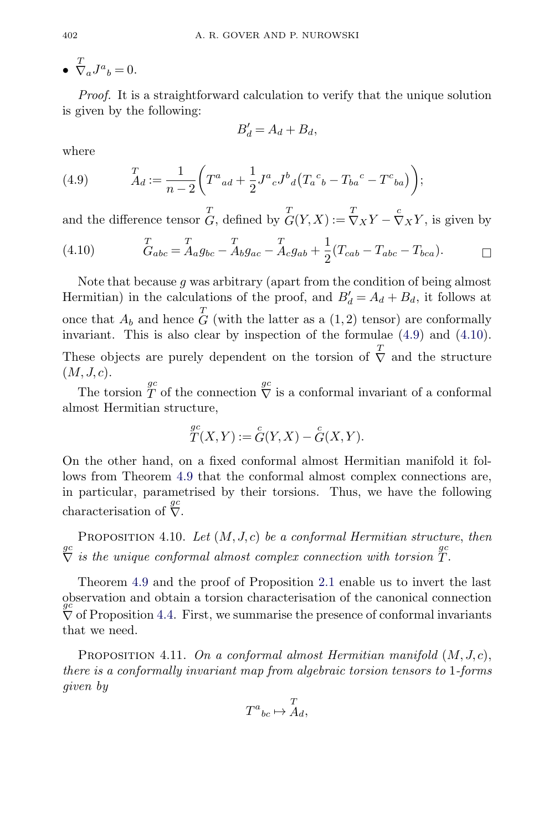<span id="page-19-0"></span>•  $\overline{\nabla}_a J^a{}_b = 0.$ 

Proof. It is a straightforward calculation to verify that the unique solution is given by the following:

$$
B'_d = A_d + B_d,
$$

where

(4.9) 
$$
\qquad \qquad \frac{T}{A_d} := \frac{1}{n-2} \bigg( T^a{}_{ad} + \frac{1}{2} J^a{}_c J^b{}_d \big( T_a{}^c{}_b - T_{ba}{}^c - T^c{}_{ba} \big) \bigg);
$$

and the difference tensor  $G$ , defined by  $G(Y,X) := \nabla_X Y - \nabla_X Y$ , is given by

(4.10) 
$$
{}_{Gabc}^{T} = {}_{Aagbc}^{T} - {}_{Abgac}^{T} - {}_{Acgab}^{T} + \frac{1}{2}(T_{cab} - T_{abc} - T_{bca}).
$$

Note that because q was arbitrary (apart from the condition of being almost Hermitian) in the calculations of the proof, and  $B'_d = A_d + B_d$ , it follows at once that  $A_b$  and hence  $\overline{G}$  (with the latter as a  $(1, 2)$  tensor) are conformally invariant. This is also clear by inspection of the formulae (4.9) and (4.10). These objects are purely dependent on the torsion of  $\overline{V}$  and the structure  $(M, J, c)$ .

The torsion  $\overline{T}$  of the connection  $\overline{V}$  is a conformal invariant of a conformal almost Hermitian structure,

$$
{}_{T}^{gc}(X,Y) := \overset{c}{G}(Y,X) - \overset{c}{G}(X,Y).
$$

On the other hand, on a fixed conformal almost Hermitian manifold it follows from Theorem [4.9](#page-18-0) that the conformal almost complex connections are, in particular, parametrised by their torsions. Thus, we have the following characterisation of  $\overline{\nabla}$ .

PROPOSITION 4.10. Let  $(M, J, c)$  be a conformal Hermitian structure, then  $\sum_{n=1}^{q}$  is the unique conformal almost complex connection with torsion  $T$ .

Theorem [4.9](#page-18-0) and the proof of Proposition [2.1](#page-4-0) enable us to invert the last observation and obtain a torsion characterisation of the canonical connection  $\frac{gc}{V}$  of Proposition [4.4.](#page-15-0) First, we summarise the presence of conformal invariants that we need.

PROPOSITION 4.11. On a conformal almost Hermitian manifold  $(M, J, c)$ , there is a conformally invariant map from algebraic torsion tensors to 1-forms given by

$$
T^a{}_{bc} \mapsto \stackrel{T}{A}_d,
$$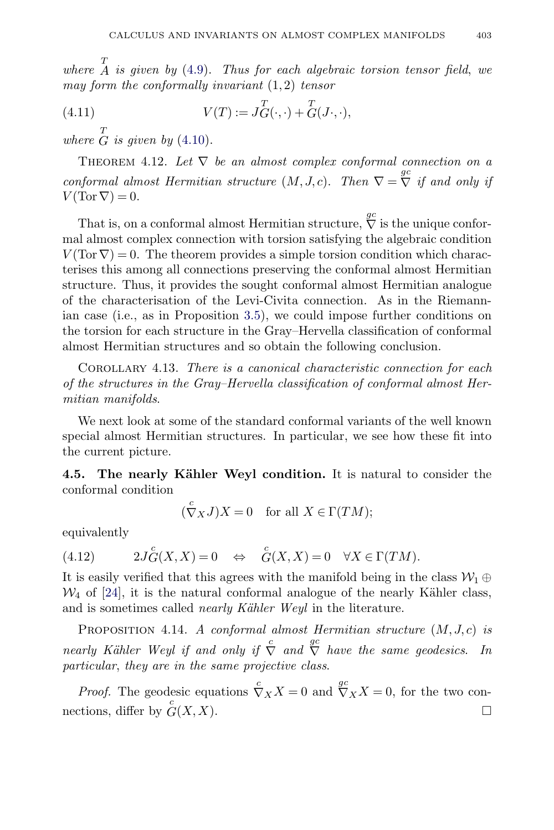<span id="page-20-0"></span>where  $\overline{A}$  is given by [\(4.9\)](#page-19-0). Thus for each algebraic torsion tensor field, we may form the conformally invariant  $(1, 2)$  tensor

(4.11) 
$$
V(T) := J_G^T(\cdot, \cdot) + \overline{G}(J \cdot, \cdot),
$$

where  $\overline{G}$  is given by [\(4.10\)](#page-19-0).

THEOREM 4.12. Let  $\nabla$  be an almost complex conformal connection on a conformal almost Hermitian structure  $(M, J, c)$ . Then  $\nabla = \nabla^2$  if and only if  $V(\text{Tor }\nabla)=0.$ 

That is, on a conformal almost Hermitian structure,  $\stackrel{gc}{\nabla}$  is the unique conformal almost complex connection with torsion satisfying the algebraic condition  $V(\text{Tor }\nabla) = 0$ . The theorem provides a simple torsion condition which characterises this among all connections preserving the conformal almost Hermitian structure. Thus, it provides the sought conformal almost Hermitian analogue of the characterisation of the Levi-Civita connection. As in the Riemannian case (i.e., as in Proposition [3.5\)](#page-13-0), we could impose further conditions on the torsion for each structure in the Gray–Hervella classification of conformal almost Hermitian structures and so obtain the following conclusion.

COROLLARY 4.13. There is a canonical characteristic connection for each of the structures in the Gray–Hervella classification of conformal almost Hermitian manifolds.

We next look at some of the standard conformal variants of the well known special almost Hermitian structures. In particular, we see how these fit into the current picture.

**4.5. The nearly Kähler Weyl condition.** It is natural to consider the conformal condition

$$
(\stackrel{c}{\nabla}_X J)X = 0 \quad \text{for all } X \in \Gamma(TM);
$$

equivalently

(4.12) 
$$
2J_G^{c}(X,X) = 0 \Leftrightarrow G(X,X) = 0 \quad \forall X \in \Gamma(TM).
$$

It is easily verified that this agrees with the manifold being in the class  $\mathcal{W}_1 \oplus$  $\mathcal{W}_4$  of [\[24\]](#page-43-0), it is the natural conformal analogue of the nearly Kähler class, and is sometimes called *nearly Kähler Weyl* in the literature.

PROPOSITION 4.14. A conformal almost Hermitian structure  $(M, J, c)$  is nearly Kähler Weyl if and only if  $\stackrel{c}{\nabla}$  and  $\stackrel{gc}{\nabla}$  have the same geodesics. In particular, they are in the same projective class.

*Proof.* The geodesic equations  $\overline{\nabla}_X X = 0$  and  $\overline{\nabla}_X X = 0$ , for the two connections, differ by  $G(X, X)$ .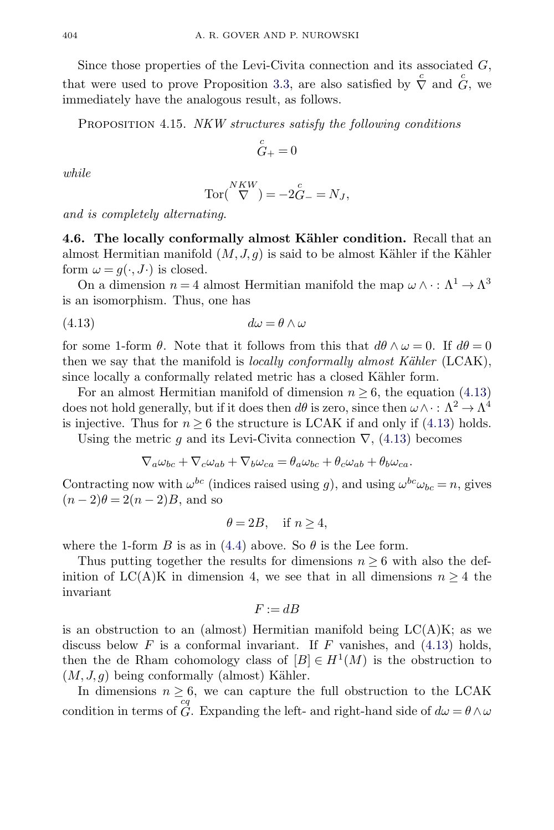<span id="page-21-0"></span>Since those properties of the Levi-Civita connection and its associated  $G$ , that were used to prove Proposition [3.3,](#page-11-0) are also satisfied by  $\overline{\nabla}$  and  $\overline{\nabla}$ , we immediately have the analogous result, as follows.

PROPOSITION 4.15. NKW structures satisfy the following conditions

$$
\mathop{G}\limits^c_+=0
$$

while

$$
\operatorname{Tor} \big(\stackrel{NKW}{\nabla}\big) = -2\stackrel{c}{G} = N_J,
$$

and is completely alternating.

**4.6. The locally conformally almost Kähler condition.** Recall that an almost Hermitian manifold  $(M, J, g)$  is said to be almost Kähler if the Kähler form  $\omega = g(\cdot, J\cdot)$  is closed.

On a dimension  $n=4$  almost Hermitian manifold the map  $\omega\wedge\cdot:\Lambda^1\to\Lambda^3$ is an isomorphism. Thus, one has

$$
(4.13)\qquad \qquad d\omega = \theta \wedge \omega
$$

for some 1-form  $\theta$ . Note that it follows from this that  $d\theta \wedge \omega = 0$ . If  $d\theta = 0$ then we say that the manifold is *locally conformally almost Kähler* (LCAK), since locally a conformally related metric has a closed Kähler form.

For an almost Hermitian manifold of dimension  $n \geq 6$ , the equation (4.13) does not hold generally, but if it does then  $d\theta$  is zero, since then  $\omega \wedge \cdot : \Lambda^2 \to \Lambda^4$ is injective. Thus for  $n \geq 6$  the structure is LCAK if and only if (4.13) holds.

Using the metric q and its Levi-Civita connection  $\nabla$ , (4.13) becomes

$$
\nabla_a\omega_{bc} + \nabla_c\omega_{ab} + \nabla_b\omega_{ca} = \theta_a\omega_{bc} + \theta_c\omega_{ab} + \theta_b\omega_{ca}.
$$

Contracting now with  $\omega^{bc}$  (indices raised using g), and using  $\omega^{bc}\omega_{bc} = n$ , gives  $(n-2)\theta = 2(n-2)B$ , and so

$$
\theta = 2B, \quad \text{if } n \ge 4,
$$

where the 1-form B is as in [\(4.4\)](#page-14-0) above. So  $\theta$  is the Lee form.

Thus putting together the results for dimensions  $n \geq 6$  with also the definition of LC(A)K in dimension 4, we see that in all dimensions  $n \geq 4$  the invariant

$$
F := dB
$$

is an obstruction to an (almost) Hermitian manifold being  $LC(A)K$ ; as we discuss below  $F$  is a conformal invariant. If  $F$  vanishes, and  $(4.13)$  holds, then the de Rham cohomology class of  $[B] \in H^1(M)$  is the obstruction to  $(M, J, q)$  being conformally (almost) Kähler.

In dimensions  $n \geq 6$ , we can capture the full obstruction to the LCAK condition in terms of  $G$ . Expanding the left- and right-hand side of  $d\omega = \theta \wedge \omega$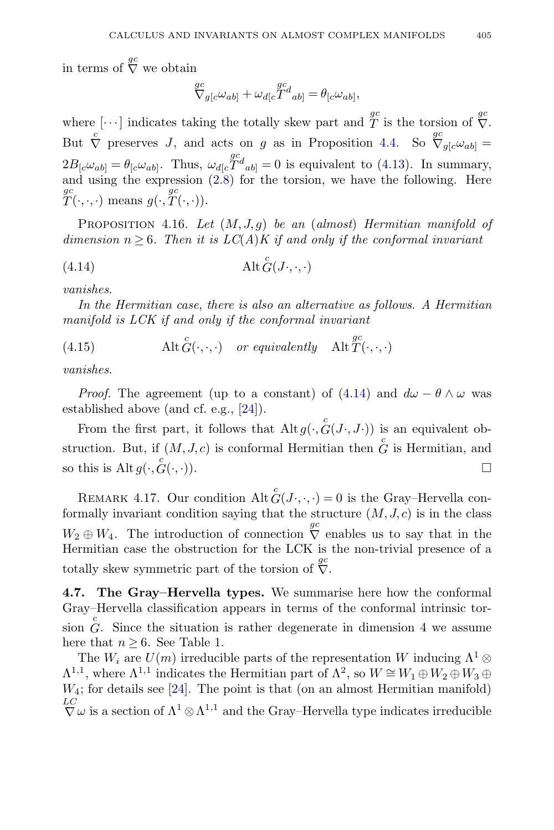<span id="page-22-0"></span>in terms of  $\stackrel{gc}{\nabla}$  we obtain

$$
\nabla_{g[c}\omega_{ab]} + \omega_{d[c}\n\overline{T}^d{}_{ab]} = \theta_{[c}\omega_{ab]},
$$

where  $[\cdots]$  indicates taking the totally skew part and  $T^{\text{gc}}$  is the torsion of  $\overset{gc}{\nabla}$ . But  $\overline{\nabla}$  preserves J, and acts on g as in Proposition [4.4.](#page-15-0) So  $\overline{\nabla}_{g[c}\omega_{ab]}$  =  $2B_{[c}\omega_{ab]} = \theta_{[c}\omega_{ab]}$ . Thus,  $\omega_{d[c}T^d_{ab]} = 0$  is equivalent to [\(4.13\)](#page-21-0). In summary, and using the expression  $(2.8)$  for the torsion, we have the following. Here  ${}_{T}^{gc}(\cdot,\cdot,\cdot)$  means  $g(\cdot,\overset{gc}{T}(\cdot,\cdot)).$ 

PROPOSITION 4.16. Let  $(M, J, q)$  be an (almost) Hermitian manifold of dimension  $n \geq 6$ . Then it is  $LC(A)K$  if and only if the conformal invariant

$$
(4.14)\qquad \qquad \mathrm{Alt}\, \overset{c}{G}(J\cdot,\cdot,\cdot)
$$

vanishes.

In the Hermitian case, there is also an alternative as follows. A Hermitian manifold is LCK if and only if the conformal invariant

(4.15)  $\text{Alt} \overset{c}{G}(\cdot,\cdot,\cdot) \quad \text{or equivalently} \quad \text{Alt} \overset{gc}{T}(\cdot,\cdot,\cdot)$ 

vanishes.

*Proof.* The agreement (up to a constant) of (4.14) and  $d\omega - \theta \wedge \omega$  was established above (and cf. e.g., [\[24\]](#page-43-0)).

From the first part, it follows that  $\mathrm{Alt}\, g(\cdot, \overset{c}{G}(J\cdot, J\cdot))$  is an equivalent obstruction. But, if  $(M, J, c)$  is conformal Hermitian then  $G$  is Hermitian, and so this is  $\mathrm{Alt}\, g(\cdot, \overset{c}{G})$  $G(\cdot, \cdot)$ .  $\Box$ 

REMARK 4.17. Our condition  $\mathrm{Alt}^c G(J\cdot,\cdot,\cdot)=0$  is the Gray–Hervella conformally invariant condition saying that the structure  $(M, J, c)$  is in the class  $W_2 \oplus W_4$ . The introduction of connection  $\stackrel{gc}{\nabla}$  enables us to say that in the Hermitian case the obstruction for the LCK is the non-trivial presence of a totally skew symmetric part of the torsion of  $\overline{\nabla}$ .

**4.7. The Gray–Hervella types.** We summarise here how the conformal Gray–Hervella classification appears in terms of the conformal intrinsic torsion  $\hat{G}$ . Since the situation is rather degenerate in dimension 4 we assume here that  $n > 6$ . See Table [1.](#page-23-0)

The  $W_i$  are  $U(m)$  irreducible parts of the representation W inducing  $\Lambda^1 \otimes$  $\Lambda^{1,1}$ , where  $\Lambda^{1,1}$  indicates the Hermitian part of  $\Lambda^2$ , so  $W \cong W_1 \oplus W_2 \oplus W_3 \oplus W_4$  $W_4$ ; for details see [\[24\]](#page-43-0). The point is that (on an almost Hermitian manifold)  $\overline{\nabla}$   $\omega$  is a section of  $\Lambda^1 \otimes \Lambda^{1,1}$  and the Gray–Hervella type indicates irreducible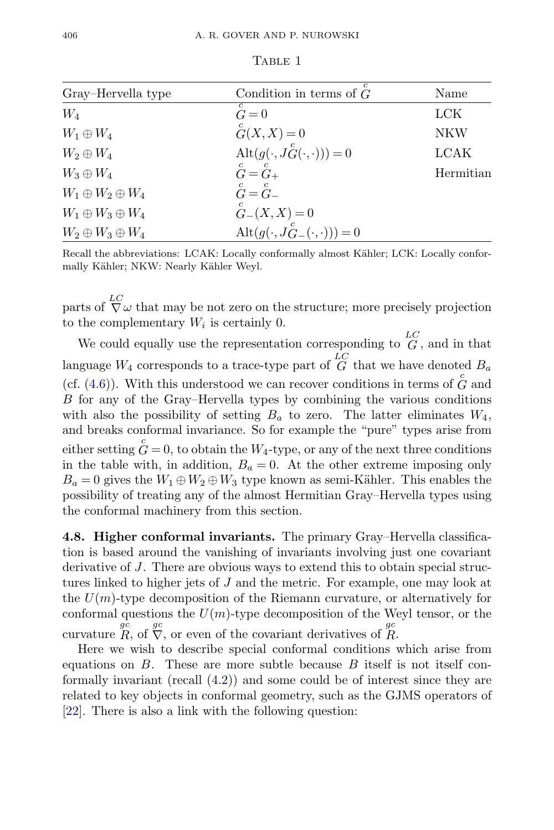<span id="page-23-0"></span>

| Gray-Hervella type          | Condition in terms of $G$                      | Name      |
|-----------------------------|------------------------------------------------|-----------|
| $W_4$                       | $\check{G}=0$                                  | LCK       |
| $W_1\oplus W_4$             | $\overset{c}{G}(X,X)=0$                        | NKW       |
| $W_2\oplus W_4$             | $\mathrm{Alt}(g(\cdot, J_G^c(\cdot,\cdot)))=0$ | LCAK      |
| $W_3 \oplus W_4$            | $\check{G}=\overset{c}{G}{}_{+}$               | Hermitian |
| $W_1 \oplus W_2 \oplus W_4$ | $\mathop{G}\limits^c=\mathop{G}\limits^c$      |           |
| $W_1 \oplus W_3 \oplus W_4$ | $G_{-}(X,X) = 0$                               |           |
| $W_2 \oplus W_3 \oplus W_4$ | Alt $(g(\cdot, J_{G-}^{c}(\cdot, \cdot)))=0$   |           |

TABLE 1

Recall the abbreviations: LCAK: Locally conformally almost Kähler; LCK: Locally conformally Kähler; NKW: Nearly Kähler Weyl.

parts of  $\nabla^L \omega$  that may be not zero on the structure; more precisely projection to the complementary  $W_i$  is certainly 0.

We could equally use the representation corresponding to  $G$ , and in that language  $W_4$  corresponds to a trace-type part of  $\overline{G}^{LC}$  that we have denoted  $B_a$ (cf.  $(4.6)$ ). With this understood we can recover conditions in terms of  $\overline{G}$  and B for any of the Gray–Hervella types by combining the various conditions with also the possibility of setting  $B_a$  to zero. The latter eliminates  $W_4$ , and breaks conformal invariance. So for example the "pure" types arise from either setting  $\mathring{G} = 0$ , to obtain the  $W_4$ -type, or any of the next three conditions in the table with, in addition,  $B_a = 0$ . At the other extreme imposing only  $B_a = 0$  gives the  $W_1 \oplus W_2 \oplus W_3$  type known as semi-Kähler. This enables the possibility of treating any of the almost Hermitian Gray–Hervella types using the conformal machinery from this section.

**4.8. Higher conformal invariants.** The primary Gray–Hervella classification is based around the vanishing of invariants involving just one covariant derivative of J. There are obvious ways to extend this to obtain special structures linked to higher jets of J and the metric. For example, one may look at the  $U(m)$ -type decomposition of the Riemann curvature, or alternatively for conformal questions the  $U(m)$ -type decomposition of the Weyl tensor, or the curvature  $\overline{R}$ , of  $\overline{\nabla}$ , or even of the covariant derivatives of  $\overline{R}$ .

Here we wish to describe special conformal conditions which arise from equations on  $B$ . These are more subtle because  $B$  itself is not itself conformally invariant (recall [\(4.2\)](#page-13-0)) and some could be of interest since they are related to key objects in conformal geometry, such as the GJMS operators of [\[22\]](#page-43-0). There is also a link with the following question: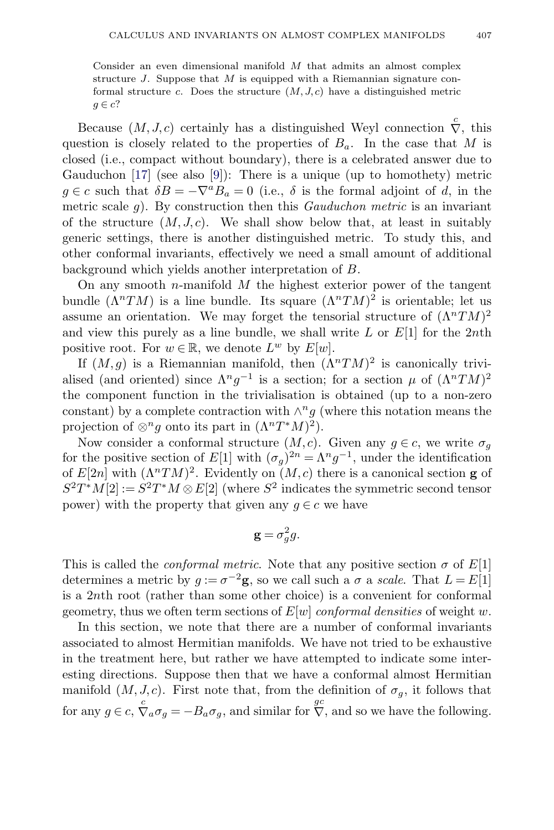Consider an even dimensional manifold M that admits an almost complex structure  $J$ . Suppose that  $M$  is equipped with a Riemannian signature conformal structure c. Does the structure  $(M, J, c)$  have a distinguished metric  $q \in c$ ?

Because  $(M, J, c)$  certainly has a distinguished Weyl connection  $\overline{\nabla}$ , this question is closely related to the properties of  $B_a$ . In the case that M is closed (i.e., compact without boundary), there is a celebrated answer due to Gauduchon  $[17]$  (see also  $[9]$ ): There is a unique (up to homothety) metric  $g \in c$  such that  $\delta B = -\nabla^a B_a = 0$  (i.e.,  $\delta$  is the formal adjoint of d, in the metric scale g). By construction then this  $Gauduchon metric$  is an invariant of the structure  $(M, J, c)$ . We shall show below that, at least in suitably generic settings, there is another distinguished metric. To study this, and other conformal invariants, effectively we need a small amount of additional background which yields another interpretation of B.

On any smooth *n*-manifold  $M$  the highest exterior power of the tangent bundle  $(\Lambda^n TM)$  is a line bundle. Its square  $(\Lambda^n TM)^2$  is orientable; let us assume an orientation. We may forget the tensorial structure of  $(\Lambda^n T M)^2$ and view this purely as a line bundle, we shall write  $L$  or  $E[1]$  for the 2nth positive root. For  $w \in \mathbb{R}$ , we denote  $L^w$  by  $E[w]$ .

If  $(M,g)$  is a Riemannian manifold, then  $(\Lambda^n TM)^2$  is canonically trivialised (and oriented) since  $\Lambda^n g^{-1}$  is a section; for a section  $\mu$  of  $(\Lambda^n TM)^2$ the component function in the trivialisation is obtained (up to a non-zero constant) by a complete contraction with  $\wedge^n g$  (where this notation means the projection of  $\otimes^n g$  onto its part in  $(\Lambda^n T^*M)^2$ .

Now consider a conformal structure  $(M, c)$ . Given any  $g \in c$ , we write  $\sigma_g$ for the positive section of E[1] with  $({\sigma_q})^{2n} = {\Lambda}^n g^{-1}$ , under the identification of  $E[2n]$  with  $(\Lambda^n TM)^2$ . Evidently on  $(M, c)$  there is a canonical section **g** of  $S^2T^*M[2] := S^2T^*M \otimes E[2]$  (where  $S^2$  indicates the symmetric second tensor power) with the property that given any  $g \in c$  we have

$$
\mathbf{g} = \sigma_g^2 g.
$$

This is called the *conformal metric*. Note that any positive section  $\sigma$  of  $E[1]$ determines a metric by  $g := \sigma^{-2}$ **g**, so we call such a  $\sigma$  a scale. That  $L = E[1]$ is a 2nth root (rather than some other choice) is a convenient for conformal geometry, thus we often term sections of  $E[w]$  conformal densities of weight w.

In this section, we note that there are a number of conformal invariants associated to almost Hermitian manifolds. We have not tried to be exhaustive in the treatment here, but rather we have attempted to indicate some interesting directions. Suppose then that we have a conformal almost Hermitian manifold  $(M, J, c)$ . First note that, from the definition of  $\sigma_q$ , it follows that for any  $g \in c$ ,  $\overline{\nabla}_a \sigma_g = -B_a \sigma_g$ , and similar for  $\overline{\nabla}$ , and so we have the following.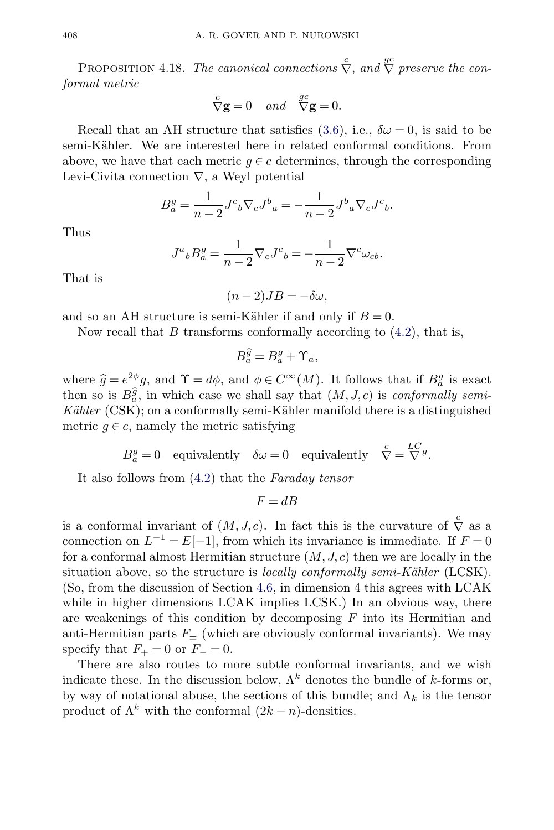PROPOSITION 4.18. The canonical connections  $\stackrel{c}{\nabla}$ , and  $\stackrel{gc}{\nabla}$  preserve the conformal metric

$$
\stackrel{c}{\nabla} \mathbf{g} = 0 \quad and \quad \stackrel{gc}{\nabla} \mathbf{g} = 0.
$$

Recall that an AH structure that satisfies [\(3.6\)](#page-9-0), i.e.,  $\delta\omega = 0$ , is said to be semi-Kähler. We are interested here in related conformal conditions. From above, we have that each metric  $g \in \mathcal{C}$  determines, through the corresponding Levi-Civita connection  $\nabla$ , a Weyl potential

$$
B_a^g = \frac{1}{n-2} J^c{}_b \nabla_c J^b{}_a = -\frac{1}{n-2} J^b{}_a \nabla_c J^c{}_b.
$$

Thus

$$
J^a{}_b B^g_a = \frac{1}{n-2} \nabla_c J^c{}_b = -\frac{1}{n-2} \nabla^c \omega_{cb}.
$$

That is

 $(n-2)JB = -\delta\omega,$ 

and so an AH structure is semi-Kähler if and only if  $B = 0$ .

Now recall that  $B$  transforms conformally according to  $(4.2)$ , that is,

$$
B_a^{\widehat{g}} = B_a^g + \Upsilon_a,
$$

where  $\hat{g} = e^{2\phi}g$ , and  $\Upsilon = d\phi$ , and  $\phi \in C^{\infty}(M)$ . It follows that if  $B_q^g$  is exact then so is  $B_a^{\hat{g}}$ , in which case we shall say that  $(M, J, c)$  is *conformally semi*- $Kähler$  (CSK); on a conformally semi-Kähler manifold there is a distinguished metric  $g \in c$ , namely the metric satisfying

 $B^g_a = 0$  equivalently  $\delta \omega = 0$  equivalently  $\overline{\nabla} = \overline{\nabla}^g$ .

It also follows from [\(4.2\)](#page-13-0) that the Faraday tensor

$$
F = dB
$$

is a conformal invariant of  $(M, J, c)$ . In fact this is the curvature of  $\stackrel{c}{\nabla}$  as a connection on  $L^{-1} = E[-1]$ , from which its invariance is immediate. If  $F = 0$ for a conformal almost Hermitian structure  $(M, J, c)$  then we are locally in the situation above, so the structure is *locally conformally semi-Kähler* (LCSK). (So, from the discussion of Section [4.6,](#page-21-0) in dimension 4 this agrees with LCAK while in higher dimensions LCAK implies LCSK.) In an obvious way, there are weakenings of this condition by decomposing  $F$  into its Hermitian and anti-Hermitian parts  $F_{\pm}$  (which are obviously conformal invariants). We may specify that  $F_+ = 0$  or  $F_- = 0$ .

There are also routes to more subtle conformal invariants, and we wish indicate these. In the discussion below,  $\Lambda^k$  denotes the bundle of k-forms or, by way of notational abuse, the sections of this bundle; and  $\Lambda_k$  is the tensor product of  $\Lambda^k$  with the conformal  $(2k - n)$ -densities.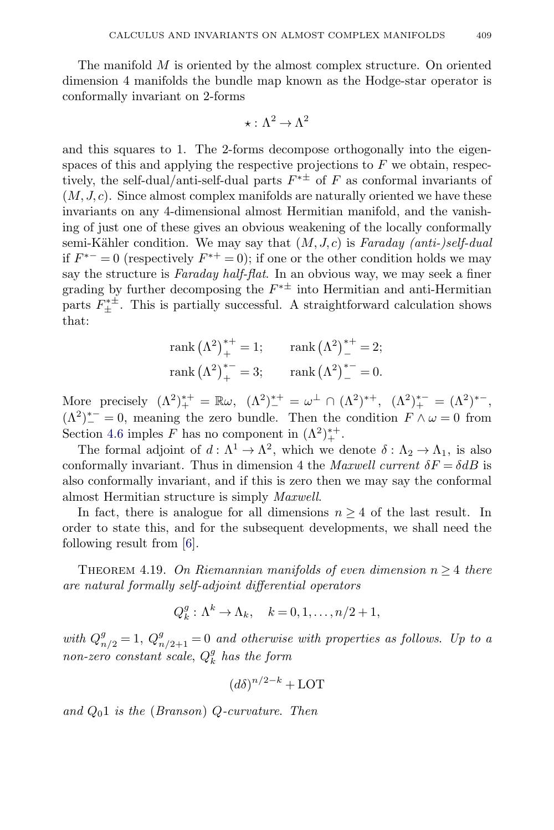<span id="page-26-0"></span>The manifold  $M$  is oriented by the almost complex structure. On oriented dimension 4 manifolds the bundle map known as the Hodge-star operator is conformally invariant on 2-forms

$$
\star:\Lambda^2\to\Lambda^2
$$

and this squares to 1. The 2-forms decompose orthogonally into the eigenspaces of this and applying the respective projections to  $F$  we obtain, respectively, the self-dual/anti-self-dual parts  $F^{*\pm}$  of F as conformal invariants of  $(M, J, c)$ . Since almost complex manifolds are naturally oriented we have these invariants on any 4-dimensional almost Hermitian manifold, and the vanishing of just one of these gives an obvious weakening of the locally conformally semi-Kähler condition. We may say that  $(M, J, c)$  is Faraday (anti-)self-dual if  $F^{*-} = 0$  (respectively  $F^{*+} = 0$ ); if one or the other condition holds we may say the structure is *Faraday half-flat*. In an obvious way, we may seek a finer grading by further decomposing the  $F^{* \pm}$  into Hermitian and anti-Hermitian parts  $F_{\pm}^{* \pm}$ . This is partially successful. A straightforward calculation shows that:

rank 
$$
(\Lambda^2)^{*+}_{+} = 1
$$
; rank  $(\Lambda^2)^{*+}_{-} = 2$ ;  
rank  $(\Lambda^2)^{*-}_{+} = 3$ ; rank  $(\Lambda^2)^{*-}_{-} = 0$ .

More precisely  $(\Lambda^2)^{*+}_{+} = \mathbb{R}\omega$ ,  $(\Lambda^2)^{*+}_{-} = \omega^{\perp} \cap (\Lambda^2)^{*+}$ ,  $(\Lambda^2)^{*-}_{+} = (\Lambda^2)^{*-}$ ,  $(\Lambda^2)^{*-}_- = 0$ , meaning the zero bundle. Then the condition  $F \wedge \omega = 0$  from Section [4.6](#page-21-0) imples F has no component in  $(\Lambda^2)^{++}_+$ .

The formal adjoint of  $d : \Lambda^1 \to \Lambda^2$ , which we denote  $\delta : \Lambda_2 \to \Lambda_1$ , is also conformally invariant. Thus in dimension 4 the *Maxwell current*  $\delta F = \delta dB$  is also conformally invariant, and if this is zero then we may say the conformal almost Hermitian structure is simply Maxwell.

In fact, there is analogue for all dimensions  $n \geq 4$  of the last result. In order to state this, and for the subsequent developments, we shall need the following result from [\[6\]](#page-43-0).

THEOREM 4.19. On Riemannian manifolds of even dimension  $n \geq 4$  there are natural formally self-adjoint differential operators

$$
Q_k^g: \Lambda^k \to \Lambda_k, \quad k = 0, 1, \dots, n/2 + 1,
$$

with  $Q_{n/2}^g = 1$ ,  $Q_{n/2+1}^g = 0$  and otherwise with properties as follows. Up to a non-zero constant scale,  $Q_k^g$  has the form

$$
(d\delta)^{n/2-k} + \text{LOT}
$$

and  $Q_01$  is the (Branson) Q-curvature. Then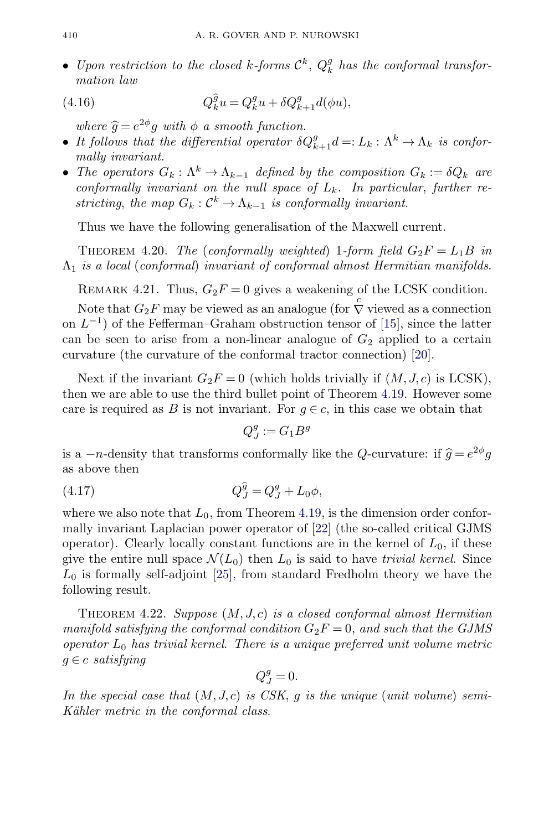<span id="page-27-0"></span>• Upon restriction to the closed k-forms  $\mathcal{C}^k$ ,  $Q_k^g$  has the conformal transformation law

(4.16) 
$$
Q_k^{\hat{g}}u = Q_k^g u + \delta Q_{k+1}^g d(\phi u),
$$

where  $\hat{g} = e^{2\phi}g$  with  $\phi$  a smooth function.

- It follows that the differential operator  $\delta Q_{k+1}^g d =: L_k : \Lambda^k \to \Lambda_k$  is conformally invariant.
- The operators  $G_k: \Lambda^k \to \Lambda_{k-1}$  defined by the composition  $G_k := \delta Q_k$  are conformally invariant on the null space of  $L_k$ . In particular, further restricting, the map  $G_k : \mathcal{C}^k \to \Lambda_{k-1}$  is conformally invariant.

Thus we have the following generalisation of the Maxwell current.

THEOREM 4.20. The (conformally weighted) 1-form field  $G_2F = L_1B$  in  $\Lambda_1$  is a local (conformal) invariant of conformal almost Hermitian manifolds.

REMARK 4.21. Thus,  $G_2F = 0$  gives a weakening of the LCSK condition.

Note that  $G_2F$  may be viewed as an analogue (for  $\overline{\nabla}$  viewed as a connection on  $L^{-1}$ ) of the Fefferman–Graham obstruction tensor of [\[15\]](#page-43-0), since the latter can be seen to arise from a non-linear analogue of  $G_2$  applied to a certain curvature (the curvature of the conformal tractor connection) [\[20\]](#page-43-0).

Next if the invariant  $G_2F = 0$  (which holds trivially if  $(M, J, c)$  is LCSK), then we are able to use the third bullet point of Theorem [4.19.](#page-26-0) However some care is required as B is not invariant. For  $g \in c$ , in this case we obtain that

 $Q_J^g := G_1 B^g$ 

is a  $-n$ -density that transforms conformally like the Q-curvature: if  $\hat{g} = e^{2\phi}g$ as above then

(4.17) 
$$
Q_J^{\hat{g}} = Q_J^g + L_0 \phi,
$$

where we also note that  $L_0$ , from Theorem [4.19,](#page-26-0) is the dimension order conformally invariant Laplacian power operator of [\[22\]](#page-43-0) (the so-called critical GJMS operator). Clearly locally constant functions are in the kernel of  $L_0$ , if these give the entire null space  $\mathcal{N}(L_0)$  then  $L_0$  is said to have *trivial kernel*. Since  $L_0$  is formally self-adjoint [\[25\]](#page-43-0), from standard Fredholm theory we have the following result.

THEOREM 4.22. Suppose  $(M, J, c)$  is a closed conformal almost Hermitian manifold satisfying the conformal condition  $G_2F = 0$ , and such that the GJMS operator  $L_0$  has trivial kernel. There is a unique preferred unit volume metric  $g \in c$  satisfying

$$
Q_J^g = 0.
$$

In the special case that  $(M, J, c)$  is CSK, g is the unique (unit volume) semi-Kähler metric in the conformal class.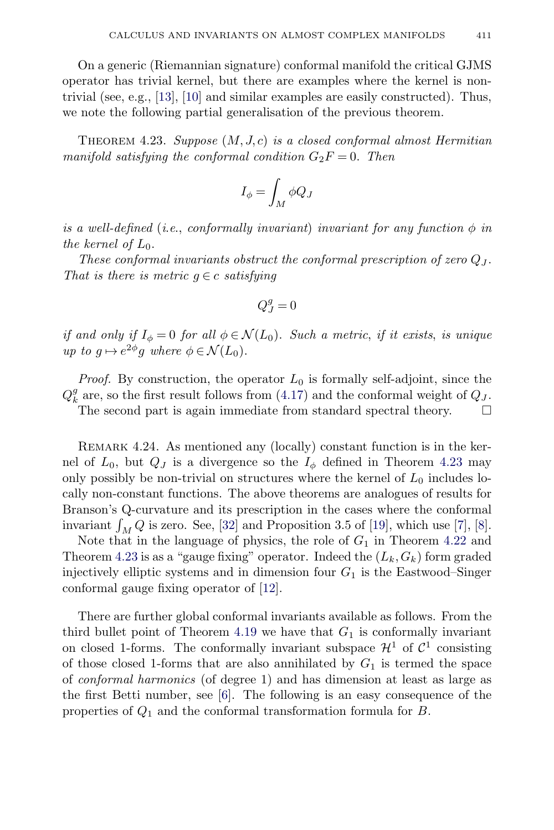<span id="page-28-0"></span>On a generic (Riemannian signature) conformal manifold the critical GJMS operator has trivial kernel, but there are examples where the kernel is nontrivial (see, e.g., [\[13\]](#page-43-0), [\[10\]](#page-43-0) and similar examples are easily constructed). Thus, we note the following partial generalisation of the previous theorem.

THEOREM 4.23. Suppose  $(M, J, c)$  is a closed conformal almost Hermitian manifold satisfying the conformal condition  $G_2F = 0$ . Then

$$
I_{\phi} = \int_M \phi Q_J
$$

is a well-defined (i.e., conformally invariant) invariant for any function  $\phi$  in the kernel of  $L_0$ .

These conformal invariants obstruct the conformal prescription of zero  $Q_J$ . That is there is metric  $g \in c$  satisfying

$$
Q_J^g=0
$$

if and only if  $I_{\phi} = 0$  for all  $\phi \in \mathcal{N}(L_0)$ . Such a metric, if it exists, is unique up to  $q \mapsto e^{2\phi}q$  where  $\phi \in \mathcal{N}(L_0)$ .

*Proof.* By construction, the operator  $L_0$  is formally self-adjoint, since the  $Q_k^g$  are, so the first result follows from [\(4.17\)](#page-27-0) and the conformal weight of  $Q_J$ .

The second part is again immediate from standard spectral theory.  $\Box$ 

REMARK 4.24. As mentioned any (locally) constant function is in the kernel of  $L_0$ , but  $Q_J$  is a divergence so the  $I_\phi$  defined in Theorem 4.23 may only possibly be non-trivial on structures where the kernel of  $L_0$  includes locally non-constant functions. The above theorems are analogues of results for Branson's Q-curvature and its prescription in the cases where the conformal invariant  $\int_M Q$  is zero. See, [\[32\]](#page-44-0) and Proposition 3.5 of [\[19\]](#page-43-0), which use [\[7\]](#page-43-0), [\[8\]](#page-43-0).

Note that in the language of physics, the role of  $G_1$  in Theorem [4.22](#page-27-0) and Theorem 4.23 is as a "gauge fixing" operator. Indeed the  $(L_k, G_k)$  form graded injectively elliptic systems and in dimension four  $G_1$  is the Eastwood–Singer conformal gauge fixing operator of [\[12\]](#page-43-0).

There are further global conformal invariants available as follows. From the third bullet point of Theorem [4.19](#page-26-0) we have that  $G_1$  is conformally invariant on closed 1-forms. The conformally invariant subspace  $\mathcal{H}^1$  of  $\mathcal{C}^1$  consisting of those closed 1-forms that are also annihilated by  $G_1$  is termed the space of conformal harmonics (of degree 1) and has dimension at least as large as the first Betti number, see [\[6\]](#page-43-0). The following is an easy consequence of the properties of  $Q_1$  and the conformal transformation formula for  $B$ .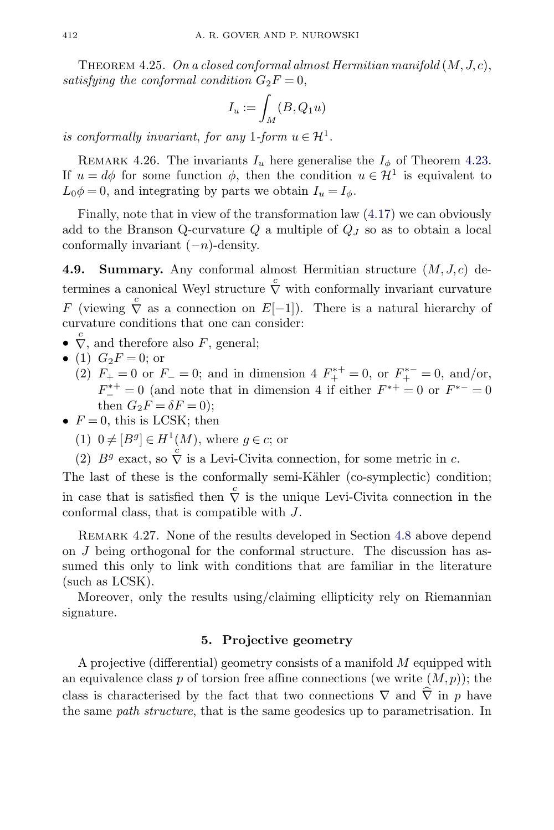<span id="page-29-0"></span>THEOREM 4.25. On a closed conformal almost Hermitian manifold  $(M, J, c)$ , satisfying the conformal condition  $G_2F = 0$ ,

$$
I_u:=\int_M(B,Q_1u)
$$

is conformally invariant, for any 1-form  $u \in \mathcal{H}^1$ .

REMARK 4.26. The invariants  $I_u$  here generalise the  $I_\phi$  of Theorem [4.23.](#page-28-0) If  $u = d\phi$  for some function  $\phi$ , then the condition  $u \in \mathcal{H}^1$  is equivalent to  $L_0\phi = 0$ , and integrating by parts we obtain  $I_u = I_\phi$ .

Finally, note that in view of the transformation law [\(4.17\)](#page-27-0) we can obviously add to the Branson Q-curvature  $Q$  a multiple of  $Q_J$  so as to obtain a local conformally invariant  $(-n)$ -density.

**4.9. Summary.** Any conformal almost Hermitian structure  $(M, J, c)$  determines a canonical Weyl structure  $\stackrel{c}{\nabla}$  with conformally invariant curvature F (viewing  $\overline{\nabla}$  as a connection on E[-1]). There is a natural hierarchy of curvature conditions that one can consider:

- $\overline{\nabla}$ , and therefore also F, general;
- (1)  $G_2F = 0$ ; or
	- (2)  $F_+ = 0$  or  $F_- = 0$ ; and in dimension 4  $F_+^{*+} = 0$ , or  $F_+^{*-} = 0$ , and/or,  $F_{-}^{*+} = 0$  (and note that in dimension 4 if either  $F^{*+} = 0$  or  $F^{*-} = 0$ then  $G_2F = \delta F = 0$ ;
- $F = 0$ , this is LCSK; then
	- (1)  $0 \neq [B^g] \in H^1(M)$ , where  $g \in c$ ; or
	- (2)  $B^g$  exact, so  $\overrightarrow{\nabla}$  is a Levi-Civita connection, for some metric in c.

The last of these is the conformally semi-Kähler (co-symplectic) condition; in case that is satisfied then  $\stackrel{c}{\nabla}$  is the unique Levi-Civita connection in the conformal class, that is compatible with J.

REMARK 4.27. None of the results developed in Section [4.8](#page-23-0) above depend on J being orthogonal for the conformal structure. The discussion has assumed this only to link with conditions that are familiar in the literature (such as LCSK).

Moreover, only the results using/claiming ellipticity rely on Riemannian signature.

# **5. Projective geometry**

A projective (differential) geometry consists of a manifold M equipped with an equivalence class p of torsion free affine connections (we write  $(M, p)$ ); the class is characterised by the fact that two connections  $\nabla$  and  $\nabla$  in p have the same *path structure*, that is the same geodesics up to parametrisation. In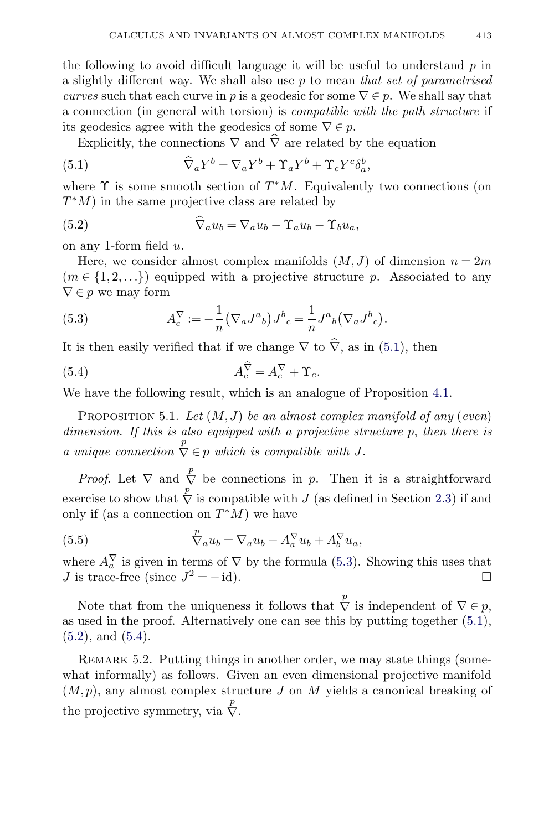<span id="page-30-0"></span>the following to avoid difficult language it will be useful to understand  $p$  in a slightly different way. We shall also use  $p$  to mean that set of parametrised curves such that each curve in p is a geodesic for some  $\nabla \in p$ . We shall say that a connection (in general with torsion) is compatible with the path structure if its geodesics agree with the geodesics of some  $\nabla \in \mathfrak{p}$ .

Explicitly, the connections  $\nabla$  and  $\nabla$  are related by the equation

(5.1) 
$$
\widehat{\nabla}_a Y^b = \nabla_a Y^b + \Upsilon_a Y^b + \Upsilon_c Y^c \delta_a^b,
$$

where  $\Upsilon$  is some smooth section of  $T^*M$ . Equivalently two connections (on  $T^*M$ ) in the same projective class are related by

(5.2) 
$$
\widehat{\nabla}_a u_b = \nabla_a u_b - \Upsilon_a u_b - \Upsilon_b u_a,
$$

on any 1-form field  $u$ .

Here, we consider almost complex manifolds  $(M, J)$  of dimension  $n = 2m$  $(m \in \{1, 2, \ldots\})$  equipped with a projective structure p. Associated to any  $\nabla \in p$  we may form

(5.3) 
$$
A_c^{\nabla} := -\frac{1}{n} (\nabla_a J^a{}_b) J^b{}_c = \frac{1}{n} J^a{}_b (\nabla_a J^b{}_c).
$$

It is then easily verified that if we change  $\nabla$  to  $\nabla$ , as in (5.1), then

(5.4) 
$$
A_c^{\nabla} = A_c^{\nabla} + \Upsilon_c.
$$

We have the following result, which is an analogue of Proposition [4.1.](#page-13-0)

PROPOSITION 5.1. Let  $(M, J)$  be an almost complex manifold of any (even) dimension. If this is also equipped with a projective structure p, then there is a unique connection  $\overline{\nabla} \in p$  which is compatible with J.

*Proof.* Let  $\nabla$  and  $\overline{\nabla}$  be connections in p. Then it is a straightforward exercise to show that  $\overline{\nabla}$  is compatible with J (as defined in Section [2.3\)](#page-7-0) if and only if (as a connection on  $T^*M$ ) we have

(5.5) 
$$
\overline{\nabla}_a u_b = \nabla_a u_b + A_a^{\nabla} u_b + A_b^{\nabla} u_a,
$$

where  $A_a^{\vee}$  is given in terms of  $\nabla$  by the formula (5.3). Showing this uses that J is trace-free (since  $J^2 = -id$ ).  $\Box$ 

Note that from the uniqueness it follows that  $\stackrel{p}{\nabla}$  is independent of  $\nabla \in p$ , as used in the proof. Alternatively one can see this by putting together (5.1),  $(5.2)$ , and  $(5.4)$ .

REMARK 5.2. Putting things in another order, we may state things (somewhat informally) as follows. Given an even dimensional projective manifold  $(M,p)$ , any almost complex structure J on M yields a canonical breaking of the projective symmetry, via  $\overline{\nabla}$ .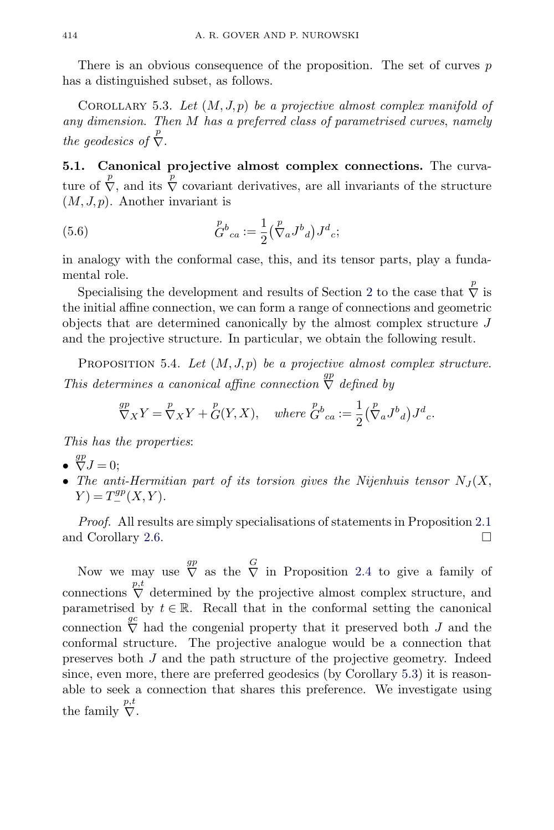<span id="page-31-0"></span>There is an obvious consequence of the proposition. The set of curves  $p$ has a distinguished subset, as follows.

COROLLARY 5.3. Let  $(M, J, p)$  be a projective almost complex manifold of any dimension. Then M has a preferred class of parametrised curves, namely the geodesics of  $\overline{\nabla}$ .

**5.1. Canonical projective almost complex connections.** The curvature of  $\overline{\nabla}$ , and its  $\overline{\nabla}$  covariant derivatives, are all invariants of the structure  $(M, J, p)$ . Another invariant is

(5.6) 
$$
G^{b}{}_{ca} := \frac{1}{2} \left( \stackrel{p}{\nabla}_{a} J^{b}{}_{d} \right) J^{d}{}_{c};
$$

in analogy with the conformal case, this, and its tensor parts, play a fundamental role.

Specialising the development and results of Section [2](#page-4-0) to the case that  $\stackrel{p}{\nabla}$  is the initial affine connection, we can form a range of connections and geometric objects that are determined canonically by the almost complex structure J and the projective structure. In particular, we obtain the following result.

PROPOSITION 5.4. Let  $(M, J, p)$  be a projective almost complex structure. This determines a canonical affine connection  $\overline{\nabla}$  defined by

$$
\nabla_X Y = \nabla_X Y + \nabla (Y, X), \quad \text{where } \nabla^b_{ca} := \frac{1}{2} \left( \nabla_a J^b{}_d \right) J^d{}_c.
$$

This has the properties:

- $\overline{\nabla}J=0;$
- The anti-Hermitian part of its torsion gives the Nijenhuis tensor  $N_J(X, \mathcal{L})$  $Y) = T_{-}^{gp}(X, Y).$

Proof. All results are simply specialisations of statements in Proposition [2.1](#page-4-0) and Corollary [2.6.](#page-7-0)  $\Box$ 

Now we may use  $\bigvee^{\text{gp}}$  as the  $\bigvee^{\text{G}}$  in Proposition [2.4](#page-6-0) to give a family of connections  $\sum_{i=1}^{p,t}$  determined by the projective almost complex structure, and parametrised by  $t \in \mathbb{R}$ . Recall that in the conformal setting the canonical connection  $\overline{\nabla}$  had the congenial property that it preserved both J and the conformal structure. The projective analogue would be a connection that preserves both J and the path structure of the projective geometry. Indeed since, even more, there are preferred geodesics (by Corollary 5.3) it is reasonable to seek a connection that shares this preference. We investigate using the family  $\sum_{i=1}^{p,t}$ .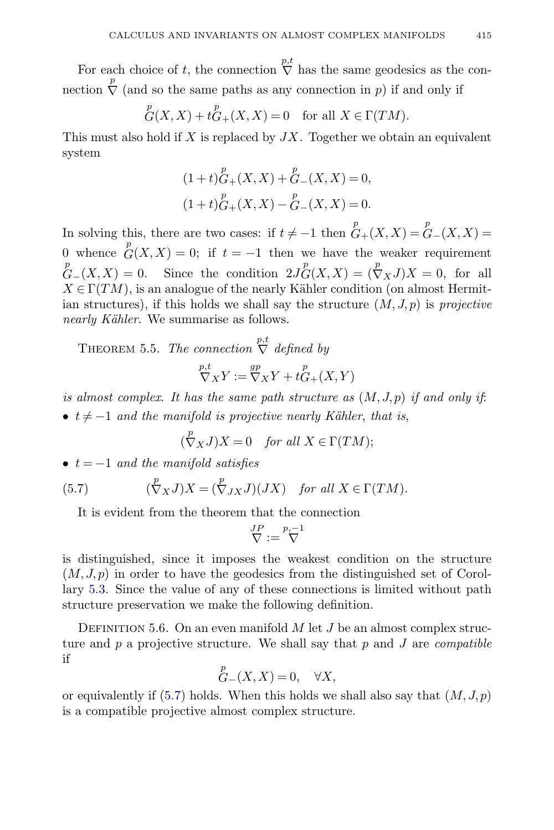<span id="page-32-0"></span>For each choice of t, the connection  $\sum_{k=1}^{n} h_k$  has the same geodesics as the connection  $\overline{\nabla}$  (and so the same paths as any connection in p) if and only if

$$
{}_{G}^{p}(X,X) + tG_{+}(X,X) = 0 \text{ for all } X \in \Gamma(TM).
$$

This must also hold if  $X$  is replaced by  $JX$ . Together we obtain an equivalent system

$$
(1+t)G_{+}(X,X) + G_{-}(X,X) = 0,
$$
  

$$
(1+t)G_{+}(X,X) - G_{-}(X,X) = 0.
$$

In solving this, there are two cases: if  $t \neq -1$  then  $\mathfrak{G}_{+}(X,X) = \mathfrak{G}_{-}(X,X) =$ 0 whence  $G(X, X) = 0$ ; if  $t = -1$  then we have the weaker requirement  ${}^pG-(X,X)=0.$  Since the condition  $2J^pG(X,X)=(\nabla_XJ)X=0$ , for all  $X \in \Gamma(TM)$ , is an analogue of the nearly Kähler condition (on almost Hermitian structures), if this holds we shall say the structure  $(M, J, p)$  is projective nearly Kähler. We summarise as follows.

THEOREM 5.5. The connection  $\stackrel{p,t}{\nabla}$  defined by

$$
\nabla_X Y := \nabla_X Y + t G_+(X, Y)
$$

is almost complex. It has the same path structure as  $(M, J, p)$  if and only if: •  $t \neq -1$  and the manifold is projective nearly Kähler, that is,

$$
(\stackrel{p}{\nabla}_X J)X = 0 \quad \text{for all } X \in \Gamma(TM);
$$

•  $t = -1$  and the manifold satisfies

(5.7) 
$$
(\stackrel{p}{\nabla}_X J)X = (\stackrel{p}{\nabla}_J X J)(JX) \text{ for all } X \in \Gamma(TM).
$$

It is evident from the theorem that the connection

$$
\overset{JP}{\nabla}:=\overset{p,-1}{\nabla}
$$

is distinguished, since it imposes the weakest condition on the structure  $(M, J, p)$  in order to have the geodesics from the distinguished set of Corollary [5.3.](#page-31-0) Since the value of any of these connections is limited without path structure preservation we make the following definition.

DEFINITION 5.6. On an even manifold  $M$  let  $J$  be an almost complex structure and  $p$  a projective structure. We shall say that  $p$  and  $J$  are *compatible* if  $p$ 

$$
G_{-}(X,X) = 0, \quad \forall X,
$$

or equivalently if  $(5.7)$  holds. When this holds we shall also say that  $(M, J, p)$ is a compatible projective almost complex structure.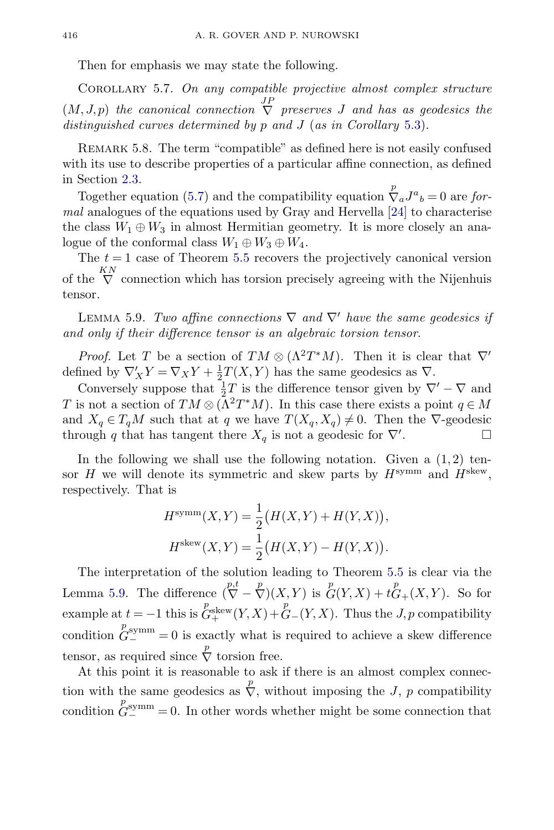<span id="page-33-0"></span>Then for emphasis we may state the following.

COROLLARY 5.7. On any compatible projective almost complex structure  $(M, J, p)$  the canonical connection  $\overline{\nabla}$  preserves J and has as geodesics the distinguished curves determined by p and J (as in Corollary [5.3\)](#page-31-0).

REMARK 5.8. The term "compatible" as defined here is not easily confused with its use to describe properties of a particular affine connection, as defined in Section [2.3.](#page-7-0)

Together equation [\(5.7\)](#page-32-0) and the compatibility equation  $\sum_a^p J^a{}_b = 0$  are formal analogues of the equations used by Gray and Hervella [\[24\]](#page-43-0) to characterise the class  $W_1 \oplus W_3$  in almost Hermitian geometry. It is more closely an analogue of the conformal class  $W_1 \oplus W_3 \oplus W_4$ .

The  $t = 1$  case of Theorem [5.5](#page-32-0) recovers the projectively canonical version of the  $\bigvee^{KN}$  connection which has torsion precisely agreeing with the Nijenhuis tensor.

LEMMA 5.9. Two affine connections  $\nabla$  and  $\nabla'$  have the same geodesics if and only if their difference tensor is an algebraic torsion tensor.

*Proof.* Let T be a section of  $TM \otimes (\Lambda^2 T^*M)$ . Then it is clear that  $\nabla'$ defined by  $\nabla'_X Y = \nabla_X Y + \frac{1}{2} T(X, Y)$  has the same geodesics as  $\nabla$ .

Conversely suppose that  $\frac{1}{2}T$  is the difference tensor given by  $\nabla' - \nabla$  and T is not a section of  $TM \otimes (\Lambda^2 T^*M)$ . In this case there exists a point  $q \in M$ and  $X_q \in T_qM$  such that at q we have  $T(X_q, X_q) \neq 0$ . Then the  $\nabla$ -geodesic through q that has tangent there  $X_q$  is not a geodesic for  $\nabla'$ .  $\Box$ 

In the following we shall use the following notation. Given a  $(1, 2)$  tensor  $H$  we will denote its symmetric and skew parts by  $H^{\text{symm}}$  and  $H^{\text{skew}}$ , respectively. That is

$$
H^{\text{symm}}(X, Y) = \frac{1}{2} (H(X, Y) + H(Y, X)),
$$
  

$$
H^{\text{skew}}(X, Y) = \frac{1}{2} (H(X, Y) - H(Y, X)).
$$

The interpretation of the solution leading to Theorem [5.5](#page-32-0) is clear via the Lemma 5.9. The difference  $\left(\nabla \frac{p,t}{\nabla} - \nabla \right)(X,Y)$  is  $\mathcal{L}^p(Y,X) + t\mathcal{L}^p(Y,Y)$ . So for example at  $t = -1$  this is  $G_{+}^{\text{Pskew}}(Y, X) + G_{-}(Y, X)$ . Thus the  $J, p$  compatibility condition  $G_{-}^{p_{symm}}=0$  is exactly what is required to achieve a skew difference tensor, as required since  $\stackrel{p}{\nabla}$  torsion free.

At this point it is reasonable to ask if there is an almost complex connection with the same geodesics as  $\overline{\nabla}$ , without imposing the J, p compatibility condition  $G_{-}^{p_{symm}} = 0$ . In other words whether might be some connection that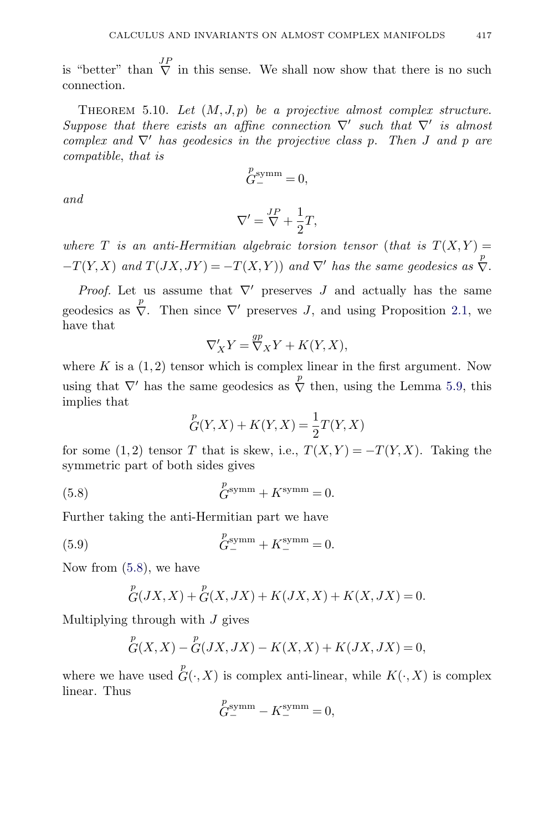<span id="page-34-0"></span>is "better" than  $\overline{V}$  in this sense. We shall now show that there is no such connection.

THEOREM 5.10. Let  $(M, J, p)$  be a projective almost complex structure. Suppose that there exists an affine connection  $\nabla'$  such that  $\nabla'$  is almost complex and  $\nabla'$  has geodesics in the projective class p. Then J and p are compatible, that is

$$
\overset{p}{G}^{\text{symm}}_{-}=0,
$$

and

$$
\nabla'=\frac{J P}{\nabla}+\frac{1}{2}T,
$$

where T is an anti-Hermitian algebraic torsion tensor (that is  $T(X, Y) =$  $-T(Y, X)$  and  $T(JX, JY) = -T(X, Y)$  and  $\nabla'$  has the same geodesics as  $\sum_{i=1}^{p}$ .

*Proof.* Let us assume that  $\nabla'$  preserves J and actually has the same geodesics as  $\overline{\nabla}$ . Then since  $\nabla'$  preserves J, and using Proposition [2.1,](#page-4-0) we have that

$$
\nabla'_{X} Y = \nabla_{X}^{gp} Y + K(Y, X),
$$

where K is a  $(1, 2)$  tensor which is complex linear in the first argument. Now using that  $\nabla'$  has the same geodesics as  $\stackrel{p}{\nabla}$  then, using the Lemma [5.9,](#page-33-0) this implies that

$$
{}_{G}^{p}(Y,X) + K(Y,X) = \frac{1}{2}T(Y,X)
$$

for some (1,2) tensor T that is skew, i.e.,  $T(X, Y) = -T(Y, X)$ . Taking the symmetric part of both sides gives

(5.8) 
$$
G^{\text{symm}} + K^{\text{symm}} = 0.
$$

Further taking the anti-Hermitian part we have

(5.9) 
$$
G_{-}^{p_{\text{symm}}} + K_{-}^{\text{symm}} = 0.
$$

Now from (5.8), we have

$$
{}_{G}^{p}(JX,X) + {}_{G}^{p}(X,JX) + K(JX,X) + K(X,JX) = 0.
$$

Multiplying through with  $J$  gives

$$
{}_{G}^{p}(X,X) - {}_{G}^{p}(JX,JX) - K(X,X) + K(JX,JX) = 0,
$$

where we have used  $\mathop{G}\limits^p(\cdot,X)$  is complex anti-linear, while  $K(\cdot,X)$  is complex linear. Thus

$$
\overset{p}{G}^{\mathrm{symm}}_{-} - K^{\mathrm{symm}}_{-} = 0,
$$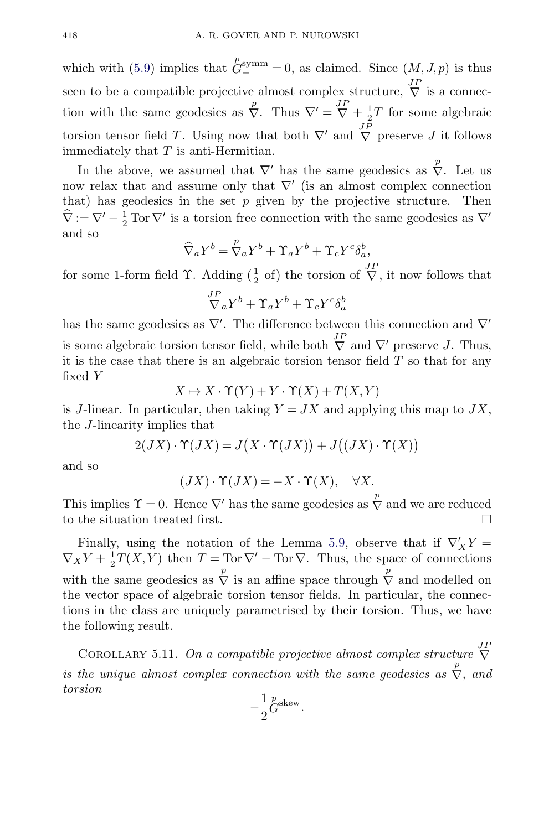<span id="page-35-0"></span>which with [\(5.9\)](#page-34-0) implies that  $\mathring{G}^{\text{symm}}_-=0$ , as claimed. Since  $(M, J, p)$  is thus seen to be a compatible projective almost complex structure,  $\overline{\nabla}$  is a connection with the same geodesics as  $\overline{\nabla}$ . Thus  $\nabla' = \overline{\nabla} + \frac{1}{2}T$  for some algebraic torsion tensor field T. Using now that both  $\nabla'$  and  $\overline{\nabla}$  preserve J it follows immediately that  $T$  is anti-Hermitian.

In the above, we assumed that  $\nabla'$  has the same geodesics as  $\overline{\nabla}$ . Let us now relax that and assume only that  $\nabla'$  (is an almost complex connection that) has geodesics in the set  $p$  given by the projective structure. Then  $\widehat{\nabla} := \nabla' - \frac{1}{2} \operatorname{Tor} \nabla'$  is a torsion free connection with the same geodesics as  $\nabla'$ and so

$$
\widehat{\nabla}_a Y^b = \mathring{\nabla}_a Y^b + \Upsilon_a Y^b + \Upsilon_c Y^c \delta_a^b,
$$

for some 1-form field  $\Upsilon$ . Adding  $(\frac{1}{2}$  of) the torsion of  $\overline{\nabla}$ , it now follows that

$$
\overset{JP}{\nabla}_a Y^b+\Upsilon_a Y^b+\Upsilon_c Y^c \delta^b_a
$$

has the same geodesics as  $\nabla'$ . The difference between this connection and  $\nabla'$ is some algebraic torsion tensor field, while both  $\bigtriangledown^{\text{JP}}$  and  $\nabla^{\prime}$  preserve J. Thus, it is the case that there is an algebraic torsion tensor field  $T$  so that for any fixed Y

$$
X \mapsto X \cdot \Upsilon(Y) + Y \cdot \Upsilon(X) + T(X, Y)
$$

is J-linear. In particular, then taking  $Y = JX$  and applying this map to  $JX$ , the J-linearity implies that

$$
2(JX)\cdot \Upsilon(JX)=J\big(X\cdot \Upsilon(JX)\big)+J\big((JX)\cdot \Upsilon(X)\big)
$$

and so

$$
(JX)\cdot \Upsilon(JX)=-X\cdot \Upsilon(X),\quad \forall X.
$$

This implies  $\Upsilon = 0$ . Hence  $\nabla'$  has the same geodesics as  $\sum_{n=1}^{\infty}$  and we are reduced to the situation treated first.

Finally, using the notation of the Lemma [5.9,](#page-33-0) observe that if  $\nabla'_X Y =$  $\nabla_X Y + \frac{1}{2}T(X, Y)$  then  $T = \text{Tor }\nabla' - \text{Tor }\nabla$ . Thus, the space of connections with the same geodesics as  $\frac{p}{\nabla}$  is an affine space through  $\frac{p}{\nabla}$  and modelled on the vector space of algebraic torsion tensor fields. In particular, the connections in the class are uniquely parametrised by their torsion. Thus, we have the following result.

COROLLARY 5.11. On a compatible projective almost complex structure  $\overline{\nabla}$ is the unique almost complex connection with the same geodesics as  $\sum_{n=1}^{p}$ , and torsion

$$
-\frac{1}{2}\overset{p}{G}^{\text{skew}}.
$$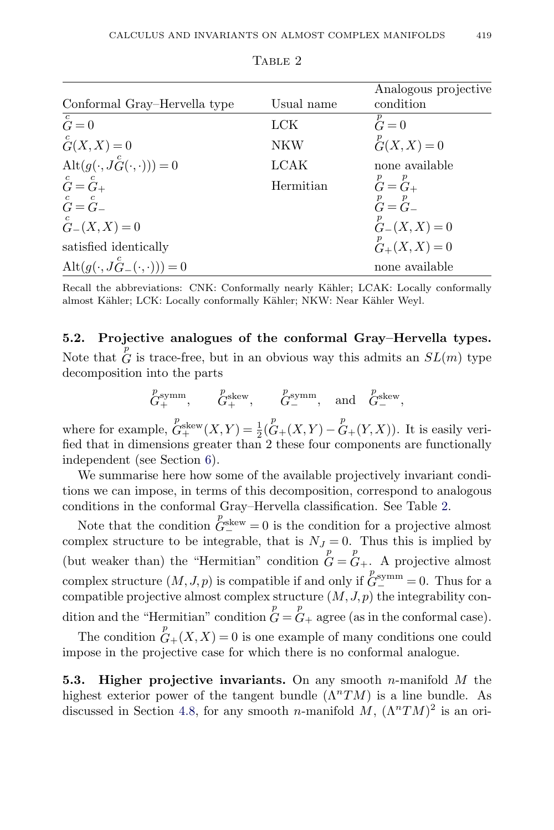<span id="page-36-0"></span>

|                                                      |            | Analogous projective                  |
|------------------------------------------------------|------------|---------------------------------------|
| Conformal Gray-Hervella type                         | Usual name | condition                             |
| $\overline{\overset{c}{G}}=0$                        | <b>LCK</b> | $G = 0$                               |
| $\overset{c}{G}(X,X)=0$                              | NKW        | ${}_{G}^{p}(X,X) = 0$                 |
| $\text{Alt}(g(\cdot, J_G^c(\cdot, \cdot))) = 0$      | LCAK       | none available                        |
| $\mathop{G}\limits^c=\mathop{G}\limits^c+$           | Hermitian  | $\overset{p}{G}=\overset{p}{G}{}_{+}$ |
| $\mathring{G} = \mathring{G}_-$                      |            | $\overset{p}{G}=\overset{p}{G}$       |
| ${}_{G-}^{c}(X,X)=0$                                 |            | ${}_{G-}^{p}(X,X)=0$                  |
| satisfied identically                                |            | ${}_{G_+}^p(X,X) = 0$                 |
| $\mathrm{Alt}(g(\cdot, J_{G-}^{c}(\cdot, \cdot)))=0$ |            | none available                        |

TABLE 2

Recall the abbreviations: CNK: Conformally nearly Kähler; LCAK: Locally conformally almost Kähler; LCK: Locally conformally Kähler; NKW: Near Kähler Weyl.

**5.2. Projective analogues of the conformal Gray–Hervella types.** Note that  $\overline{G}$  is trace-free, but in an obvious way this admits an  $SL(m)$  type decomposition into the parts

$$
\overset{p}{G}_+^{\text{symm}}, \qquad \overset{p}{G}_+^{\text{skew}}, \qquad \overset{p}{G}_-^{\text{symm}}, \quad \text{and} \quad \overset{p}{G}_-^{\text{skew}},
$$

where for example,  $G^{\text{skew}}_+(X,Y) = \frac{1}{2}(\mathcal{C}_+(X,Y) - \mathcal{C}_+(Y,X)).$  It is easily verified that in dimensions greater than 2 these four components are functionally independent (see Section [6\)](#page-38-0).

We summarise here how some of the available projectively invariant conditions we can impose, in terms of this decomposition, correspond to analogous conditions in the conformal Gray–Hervella classification. See Table 2.

Note that the condition  $G^{\text{skew}} = 0$  is the condition for a projective almost complex structure to be integrable, that is  $N_J = 0$ . Thus this is implied by (but weaker than) the "Hermitian" condition  $G = G_+$ . A projective almost complex structure  $(M, J, p)$  is compatible if and only if  $G_{\infty}^{symm} = 0$ . Thus for a compatible projective almost complex structure  $(M, J, p)$  the integrability condition and the "Hermitian" condition  $G = G_+$  agree (as in the conformal case).

The condition  $G_{+}(X,X) = 0$  is one example of many conditions one could impose in the projective case for which there is no conformal analogue.

**5.3. Higher projective invariants.** On any smooth n-manifold M the highest exterior power of the tangent bundle  $(\Lambda^n TM)$  is a line bundle. As discussed in Section [4.8,](#page-23-0) for any smooth *n*-manifold M,  $(\Lambda^n T M)^2$  is an ori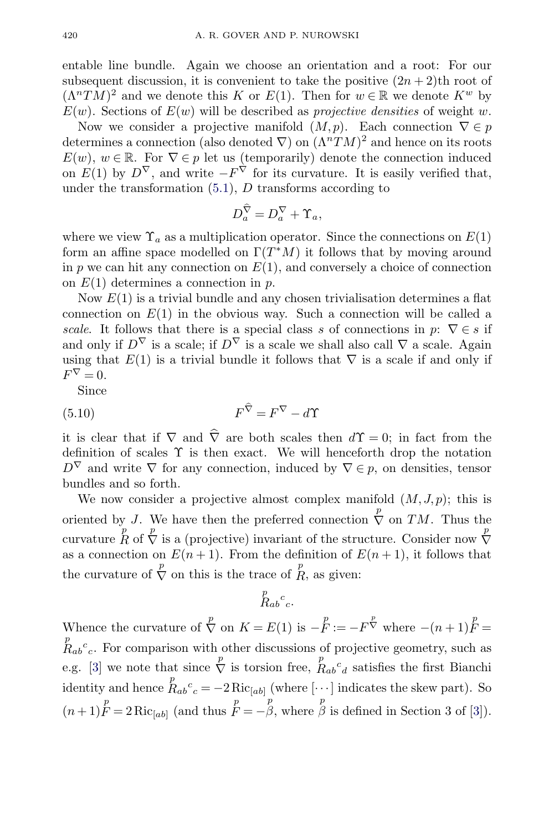<span id="page-37-0"></span>entable line bundle. Again we choose an orientation and a root: For our subsequent discussion, it is convenient to take the positive  $(2n + 2)$ th root of  $(\Lambda^n TM)^2$  and we denote this K or  $E(1)$ . Then for  $w \in \mathbb{R}$  we denote  $K^w$  by  $E(w)$ . Sections of  $E(w)$  will be described as projective densities of weight w.

Now we consider a projective manifold  $(M, p)$ . Each connection  $\nabla \in p$ determines a connection (also denoted  $\nabla$ ) on  $(\Lambda^n TM)^2$  and hence on its roots  $E(w)$ ,  $w \in \mathbb{R}$ . For  $\nabla \in p$  let us (temporarily) denote the connection induced on  $E(1)$  by  $D^{\nabla}$ , and write  $-F^{\nabla}$  for its curvature. It is easily verified that, under the transformation  $(5.1)$ , D transforms according to

$$
D_a^{\widehat{\nabla}} = D_a^{\nabla} + \Upsilon_a,
$$

where we view  $\Upsilon_a$  as a multiplication operator. Since the connections on  $E(1)$ form an affine space modelled on  $\Gamma(T^*M)$  it follows that by moving around in  $p$  we can hit any connection on  $E(1)$ , and conversely a choice of connection on  $E(1)$  determines a connection in p.

Now  $E(1)$  is a trivial bundle and any chosen trivialisation determines a flat connection on  $E(1)$  in the obvious way. Such a connection will be called a scale. It follows that there is a special class s of connections in p:  $\nabla \in s$  if and only if  $D^{\nabla}$  is a scale; if  $D^{\nabla}$  is a scale we shall also call  $\nabla$  a scale. Again using that  $E(1)$  is a trivial bundle it follows that  $\nabla$  is a scale if and only if  $F^{\nabla}=0.$ 

Since

$$
(5.10)\t\t\t F^{\nabla} = F^{\nabla} - d\Upsilon
$$

it is clear that if  $\nabla$  and  $\nabla$  are both scales then  $d\Upsilon = 0$ ; in fact from the definition of scales  $\Upsilon$  is then exact. We will henceforth drop the notation  $D^{\nabla}$  and write  $\nabla$  for any connection, induced by  $\nabla \in p$ , on densities, tensor bundles and so forth.

We now consider a projective almost complex manifold  $(M, J, p)$ ; this is oriented by J. We have then the preferred connection  $\stackrel{p}{\nabla}$  on TM. Thus the curvature  $\overline{R}$  of  $\overline{\nabla}$  is a (projective) invariant of the structure. Consider now  $\overline{\nabla}$ as a connection on  $E(n+1)$ . From the definition of  $E(n+1)$ , it follows that the curvature of  $\stackrel{p}{\nabla}$  on this is the trace of  $\stackrel{p}{R}$ , as given:

$$
\overset{p}{R}_{ab}{}^c{}_c.
$$

Whence the curvature of  $\stackrel{p}{\nabla}$  on  $K = E(1)$  is  $-\stackrel{p}{F} := -F^{\stackrel{p}{\nabla}}$  where  $-(n+1)\stackrel{p}{F} =$  $R_{ab}^c$ . For comparison with other discussions of projective geometry, such as e.g. [\[3\]](#page-42-0) we note that since  $\overline{\nabla}$  is torsion free,  $R_{ab}c_d$  satisfies the first Bianchi identity and hence  $R_{ab}^c{}_c = -2 \text{Ric}_{[ab]}$  (where [···] indicates the skew part). So  $(n+1)$ <sup>p</sup><sub>F</sub> = 2Ric<sub>[ab]</sub> (and thus  $\overline{F} = -\beta$ , where  $\overline{\beta}$  is defined in Section 3 of [\[3\]](#page-42-0)).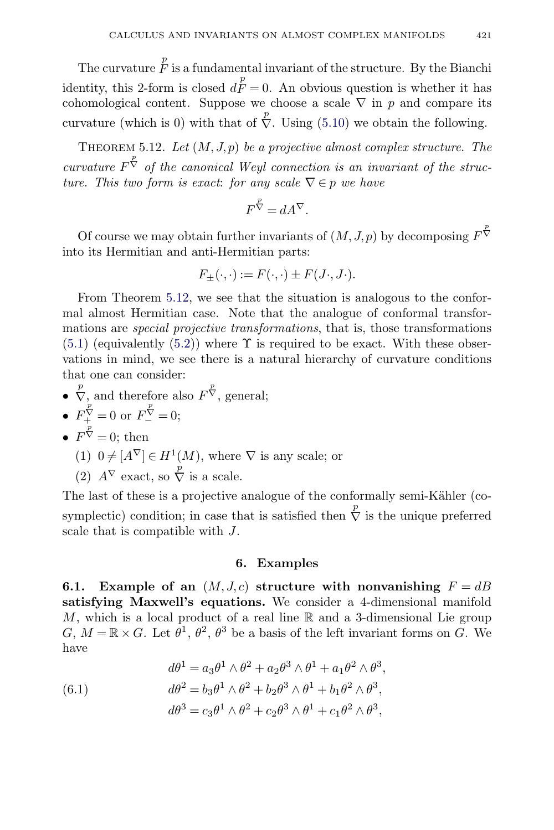<span id="page-38-0"></span>The curvature  $\overset{p}{F}$  is a fundamental invariant of the structure. By the Bianchi identity, this 2-form is closed  $d_F^p = 0$ . An obvious question is whether it has cohomological content. Suppose we choose a scale  $\nabla$  in p and compare its curvature (which is 0) with that of  $\overline{\nabla}$ . Using [\(5.10\)](#page-37-0) we obtain the following.

THEOREM 5.12. Let  $(M, J, p)$  be a projective almost complex structure. The curvature  $F^{\nabla}$  of the canonical Weyl connection is an invariant of the structure. This two form is exact: for any scale  $\nabla \in p$  we have

$$
F^{\overset{p}{\nabla}} = dA^{\nabla}.
$$

Of course we may obtain further invariants of  $(M, J, p)$  by decomposing  $F^{\nabla}$ into its Hermitian and anti-Hermitian parts:

$$
F_{\pm}(\cdot,\cdot):=F(\cdot,\cdot)\pm F(J\cdot,J\cdot).
$$

From Theorem 5.12, we see that the situation is analogous to the conformal almost Hermitian case. Note that the analogue of conformal transformations are *special projective transformations*, that is, those transformations  $(5.1)$  (equivalently  $(5.2)$ ) where  $\Upsilon$  is required to be exact. With these observations in mind, we see there is a natural hierarchy of curvature conditions that one can consider:

•  $\overline{\nabla}_{p}$  and therefore also  $F^{\overline{\nabla}}$ , general;

• 
$$
F^{\nabla}_{+} = 0
$$
 or  $F^{\nabla}_{-} = 0$ ;

- $F^{\overline{\nabla}}=0$ ; then
	- (1)  $0 \neq [A^{\nabla}] \in H^1(M)$ , where  $\nabla$  is any scale; or
	- (2)  $A^{\nabla}$  exact, so  $\overline{\nabla}$  is a scale.

The last of these is a projective analogue of the conformally semi-Kähler (cosymplectic) condition; in case that is satisfied then  $\overline{\nabla}$  is the unique preferred scale that is compatible with J.

### **6. Examples**

**6.1.** Example of an  $(M, J, c)$  structure with nonvanishing  $F = dB$ **satisfying Maxwell's equations.** We consider a 4-dimensional manifold M, which is a local product of a real line  $\mathbb R$  and a 3-dimensional Lie group  $G, M = \mathbb{R} \times G$ . Let  $\theta^1, \theta^2, \theta^3$  be a basis of the left invariant forms on G. We have

(6.1) 
$$
d\theta^{1} = a_{3}\theta^{1} \wedge \theta^{2} + a_{2}\theta^{3} \wedge \theta^{1} + a_{1}\theta^{2} \wedge \theta^{3},
$$

$$
d\theta^{2} = b_{3}\theta^{1} \wedge \theta^{2} + b_{2}\theta^{3} \wedge \theta^{1} + b_{1}\theta^{2} \wedge \theta^{3},
$$

$$
d\theta^{3} = c_{3}\theta^{1} \wedge \theta^{2} + c_{2}\theta^{3} \wedge \theta^{1} + c_{1}\theta^{2} \wedge \theta^{3},
$$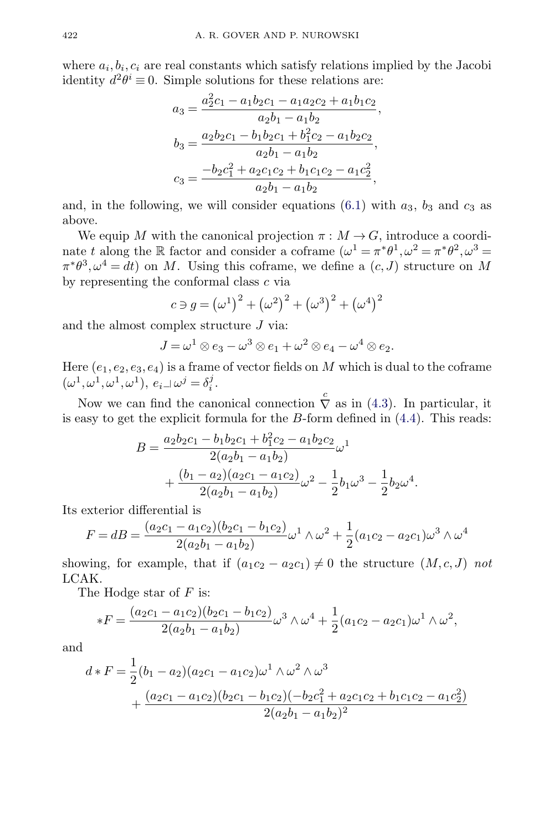where  $a_i, b_i, c_i$  are real constants which satisfy relations implied by the Jacobi identity  $d^2\theta^i \equiv 0$ . Simple solutions for these relations are:

$$
a_3 = \frac{a_2^2c_1 - a_1b_2c_1 - a_1a_2c_2 + a_1b_1c_2}{a_2b_1 - a_1b_2},
$$
  
\n
$$
b_3 = \frac{a_2b_2c_1 - b_1b_2c_1 + b_1^2c_2 - a_1b_2c_2}{a_2b_1 - a_1b_2},
$$
  
\n
$$
c_3 = \frac{-b_2c_1^2 + a_2c_1c_2 + b_1c_1c_2 - a_1c_2^2}{a_2b_1 - a_1b_2},
$$

and, in the following, we will consider equations  $(6.1)$  with  $a_3$ ,  $b_3$  and  $c_3$  as above.

We equip M with the canonical projection  $\pi : M \to G$ , introduce a coordinate t along the R factor and consider a coframe  $(\omega^1 = \pi^* \theta^1, \omega^2 = \pi^* \theta^2, \omega^3 =$  $\pi^*\theta^3$ ,  $\omega^4 = dt$ ) on M. Using this coframe, we define a  $(c, J)$  structure on M by representing the conformal class c via

$$
c \ni g = (\omega^1)^2 + (\omega^2)^2 + (\omega^3)^2 + (\omega^4)^2
$$

and the almost complex structure J via:

$$
J = \omega^1 \otimes e_3 - \omega^3 \otimes e_1 + \omega^2 \otimes e_4 - \omega^4 \otimes e_2.
$$

Here  $(e_1, e_2, e_3, e_4)$  is a frame of vector fields on M which is dual to the coframe  $(\omega^1, \omega^1, \omega^1, \omega^1), e_i \_\omegai = \delta_i^j.$ 

Now we can find the canonical connection  $\stackrel{c}{\nabla}$  as in [\(4.3\)](#page-14-0). In particular, it is easy to get the explicit formula for the  $B$ -form defined in  $(4.4)$ . This reads:

$$
B = \frac{a_2b_2c_1 - b_1b_2c_1 + b_1^2c_2 - a_1b_2c_2}{2(a_2b_1 - a_1b_2)}\omega^1
$$
  
+ 
$$
\frac{(b_1 - a_2)(a_2c_1 - a_1c_2)}{2(a_2b_1 - a_1b_2)}\omega^2 - \frac{1}{2}b_1\omega^3 - \frac{1}{2}b_2\omega^4.
$$

Its exterior differential is

$$
F = dB = \frac{(a_2c_1 - a_1c_2)(b_2c_1 - b_1c_2)}{2(a_2b_1 - a_1b_2)}\omega^1 \wedge \omega^2 + \frac{1}{2}(a_1c_2 - a_2c_1)\omega^3 \wedge \omega^4
$$

showing, for example, that if  $(a_1c_2 - a_2c_1) \neq 0$  the structure  $(M, c, J)$  not LCAK.

The Hodge star of  $F$  is:

$$
*F = \frac{(a_2c_1 - a_1c_2)(b_2c_1 - b_1c_2)}{2(a_2b_1 - a_1b_2)}\omega^3 \wedge \omega^4 + \frac{1}{2}(a_1c_2 - a_2c_1)\omega^1 \wedge \omega^2,
$$

and

$$
d * F = \frac{1}{2}(b_1 - a_2)(a_2c_1 - a_1c_2)\omega^1 \wedge \omega^2 \wedge \omega^3
$$
  
+ 
$$
\frac{(a_2c_1 - a_1c_2)(b_2c_1 - b_1c_2)(-b_2c_1^2 + a_2c_1c_2 + b_1c_1c_2 - a_1c_2^2)}{2(a_2b_1 - a_1b_2)^2}
$$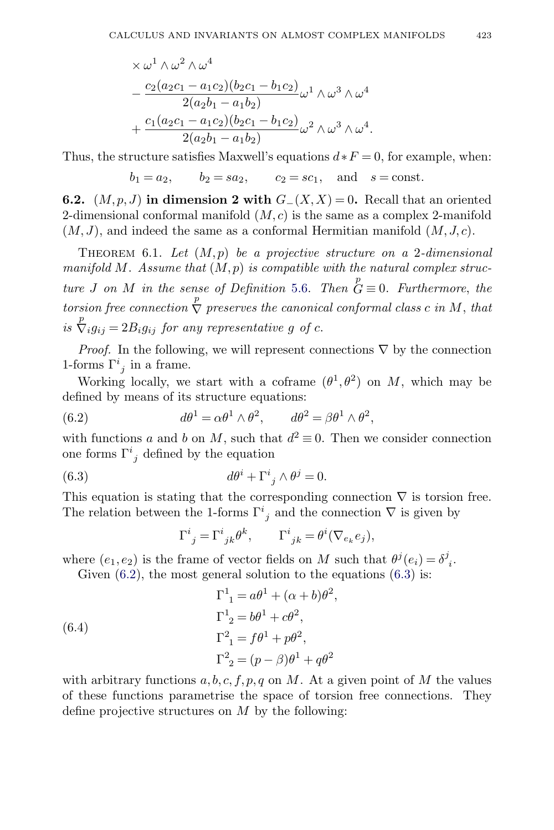<span id="page-40-0"></span>
$$
\times \omega^1 \wedge \omega^2 \wedge \omega^4
$$
  
 
$$
- \frac{c_2(a_2c_1 - a_1c_2)(b_2c_1 - b_1c_2)}{2(a_2b_1 - a_1b_2)}\omega^1 \wedge \omega^3 \wedge \omega^4
$$
  
 
$$
+ \frac{c_1(a_2c_1 - a_1c_2)(b_2c_1 - b_1c_2)}{2(a_2b_1 - a_1b_2)}\omega^2 \wedge \omega^3 \wedge \omega^4.
$$

Thus, the structure satisfies Maxwell's equations  $d * F = 0$ , for example, when:

$$
b_1 = a_2
$$
,  $b_2 = sa_2$ ,  $c_2 = sc_1$ , and  $s = const$ .

**6.2.**  $(M, p, J)$  in dimension 2 with  $G_-(X, X) = 0$ . Recall that an oriented 2-dimensional conformal manifold  $(M, c)$  is the same as a complex 2-manifold  $(M, J)$ , and indeed the same as a conformal Hermitian manifold  $(M, J, c)$ .

THEOREM 6.1. Let  $(M, p)$  be a projective structure on a 2-dimensional manifold M. Assume that  $(M, p)$  is compatible with the natural complex structure *J* on *M* in the sense of Definition [5.6.](#page-32-0) Then  $G = 0$ . Furthermore, the torsion free connection  $\stackrel{p}{\nabla}$  preserves the canonical conformal class c in M, that is  $\overline{\nabla}_i g_{ij} = 2B_i g_{ij}$  for any representative g of c.

*Proof.* In the following, we will represent connections  $\nabla$  by the connection 1-forms  $\Gamma^i_{j}$  in a frame.

Working locally, we start with a coframe  $(\theta^1, \theta^2)$  on M, which may be defined by means of its structure equations:

(6.2) 
$$
d\theta^1 = \alpha \theta^1 \wedge \theta^2, \qquad d\theta^2 = \beta \theta^1 \wedge \theta^2,
$$

with functions a and b on M, such that  $d^2 \equiv 0$ . Then we consider connection one forms  $\Gamma^i_{j}$  defined by the equation

(6.3) 
$$
d\theta^i + \Gamma^i{}_j \wedge \theta^j = 0.
$$

This equation is stating that the corresponding connection  $\nabla$  is torsion free. The relation between the 1-forms  $\Gamma^i_{j}$  and the connection  $\nabla$  is given by

$$
\Gamma^{i}{}_{j}=\Gamma^{i}{}_{jk}\theta^{k},\qquad \Gamma^{i}{}_{jk}=\theta^{i}(\nabla_{e_{k}}e_{j}),
$$

where  $(e_1, e_2)$  is the frame of vector fields on M such that  $\theta^j(e_i) = \delta^j_{i}$ .

Given  $(6.2)$ , the most general solution to the equations  $(6.3)$  is:

(6.4)  
\n
$$
\Gamma^1_{1} = a\theta^1 + (\alpha + b)\theta^2,
$$
\n
$$
\Gamma^1_{2} = b\theta^1 + c\theta^2,
$$
\n
$$
\Gamma^2_{1} = f\theta^1 + p\theta^2,
$$
\n
$$
\Gamma^2_{2} = (p - \beta)\theta^1 + q\theta^2
$$

with arbitrary functions  $a, b, c, f, p, q$  on M. At a given point of M the values of these functions parametrise the space of torsion free connections. They define projective structures on  $M$  by the following: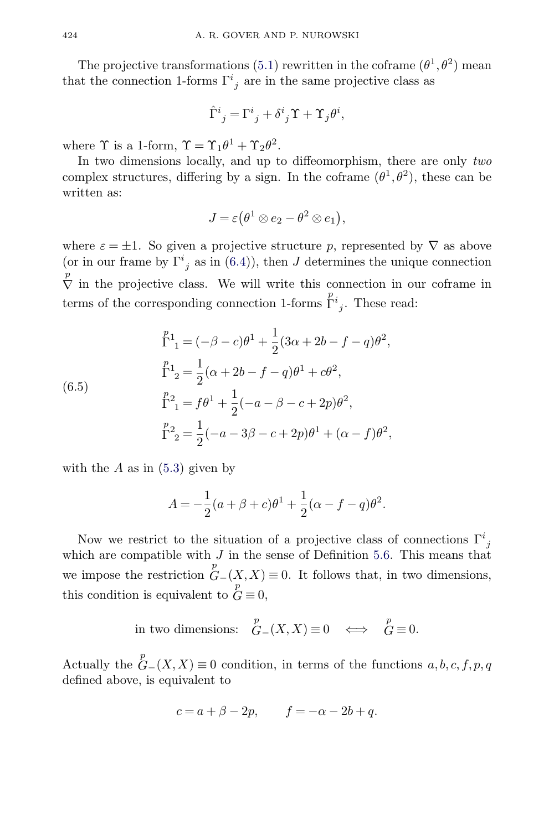The projective transformations [\(5.1\)](#page-30-0) rewritten in the coframe  $(\theta^1, \theta^2)$  mean that the connection 1-forms  $\Gamma^i_{j}$  are in the same projective class as

$$
\hat{\Gamma}^i_{\ j} = \Gamma^i_{\ j} + \delta^i_{\ j} \Upsilon + \Upsilon_j \theta^i,
$$

where  $\Upsilon$  is a 1-form,  $\Upsilon = \Upsilon_1 \theta^1 + \Upsilon_2 \theta^2$ .

In two dimensions locally, and up to diffeomorphism, there are only two complex structures, differing by a sign. In the coframe  $(\theta^1, \theta^2)$ , these can be written as:

$$
J = \varepsilon (\theta^1 \otimes e_2 - \theta^2 \otimes e_1),
$$

where  $\varepsilon = \pm 1$ . So given a projective structure p, represented by  $\nabla$  as above (or in our frame by  $\Gamma^i{}_j$  as in [\(6.4\)](#page-40-0)), then J determines the unique connection p  $\overline{\nabla}$  in the projective class. We will write this connection in our coframe in terms of the corresponding connection 1-forms  $\int_{j}^{p_i}$ . These read:

(6.5)  
\n
$$
\Gamma^{p_1}_{1} = (-\beta - c)\theta^1 + \frac{1}{2}(3\alpha + 2b - f - q)\theta^2,
$$
\n
$$
\Gamma^{p_1}_{2} = \frac{1}{2}(\alpha + 2b - f - q)\theta^1 + c\theta^2,
$$
\n
$$
\Gamma^{p_2}_{1} = f\theta^1 + \frac{1}{2}(-a - \beta - c + 2p)\theta^2,
$$
\n
$$
\Gamma^{p_2}_{2} = \frac{1}{2}(-a - 3\beta - c + 2p)\theta^1 + (\alpha - f)\theta^2,
$$

with the  $A$  as in  $(5.3)$  given by

$$
A = -\frac{1}{2}(a + \beta + c)\theta^{1} + \frac{1}{2}(\alpha - f - q)\theta^{2}.
$$

Now we restrict to the situation of a projective class of connections  $\Gamma^i_{j}$ which are compatible with  $J$  in the sense of Definition [5.6.](#page-32-0) This means that we impose the restriction  $G-(X,X) \equiv 0$ . It follows that, in two dimensions, this condition is equivalent to  $\overrightarrow{G} \equiv 0$ ,

in two dimensions: 
$$
\stackrel{p}{G} (X,X) \equiv 0 \iff \stackrel{p}{G} \equiv 0.
$$

Actually the  $\mathop{G}\limits^p_-(X,X) \equiv 0$  condition, in terms of the functions  $a, b, c, f, p, q$ defined above, is equivalent to

$$
c = a + \beta - 2p, \qquad f = -\alpha - 2b + q.
$$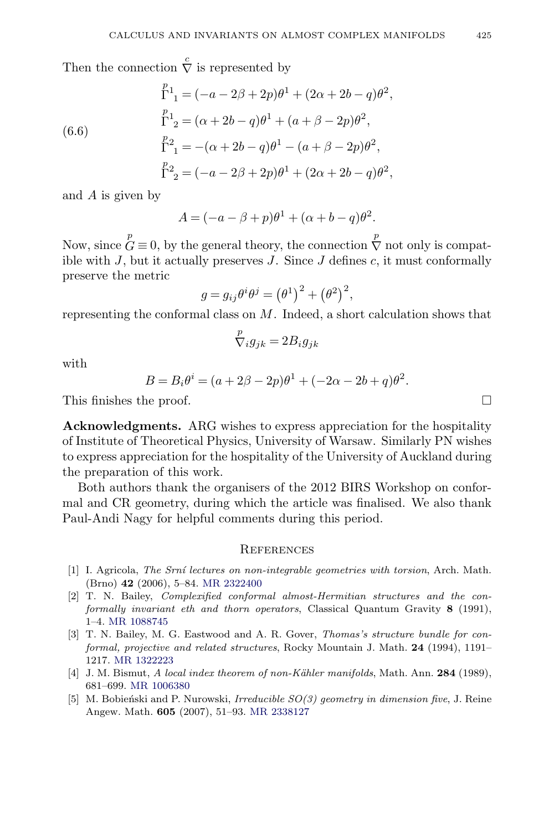<span id="page-42-0"></span>Then the connection  $\stackrel{c}{\nabla}$  is represented by

(6.6)  
\n
$$
\Gamma^{1}_{1} = (-a - 2\beta + 2p)\theta^{1} + (2\alpha + 2b - q)\theta^{2},
$$
\n
$$
\Gamma^{1}_{2} = (\alpha + 2b - q)\theta^{1} + (a + \beta - 2p)\theta^{2},
$$
\n
$$
\Gamma^{2}_{1} = -(\alpha + 2b - q)\theta^{1} - (a + \beta - 2p)\theta^{2},
$$
\n
$$
\Gamma^{2}_{2} = (-a - 2\beta + 2p)\theta^{1} + (2\alpha + 2b - q)\theta^{2},
$$

and A is given by

$$
A = (-a - \beta + p)\theta^1 + (\alpha + b - q)\theta^2.
$$

Now, since  $\mathop{G}\limits^p\equiv 0$ , by the general theory, the connection  $\mathop{\nabla}\limits^p$  not only is compatible with  $J$ , but it actually preserves  $J$ . Since  $J$  defines  $c$ , it must conformally preserve the metric

$$
g = g_{ij}\theta^i\theta^j = \left(\theta^1\right)^2 + \left(\theta^2\right)^2,
$$

representing the conformal class on  $M$ . Indeed, a short calculation shows that

$$
{\stackrel{p}\nabla}{}_ig_{jk}=2B_ig_{jk}
$$

with

$$
B = B_i \theta^i = (a + 2\beta - 2p)\theta^1 + (-2\alpha - 2b + q)\theta^2.
$$

This finishes the proof.  $\Box$ 

**Acknowledgments.** ARG wishes to express appreciation for the hospitality of Institute of Theoretical Physics, University of Warsaw. Similarly PN wishes to express appreciation for the hospitality of the University of Auckland during the preparation of this work.

Both authors thank the organisers of the 2012 BIRS Workshop on conformal and CR geometry, during which the article was finalised. We also thank Paul-Andi Nagy for helpful comments during this period.

#### **REFERENCES**

- [1] I. Agricola, The Srní lectures on non-integrable geometries with torsion, Arch. Math. (Brno) **42** (2006), 5–84. [MR 2322400](http://www.ams.org/mathscinet-getitem?mr=2322400)
- [2] T. N. Bailey, Complexified conformal almost-Hermitian structures and the conformally invariant eth and thorn operators, Classical Quantum Gravity **8** (1991), 1–4. [MR 1088745](http://www.ams.org/mathscinet-getitem?mr=1088745)
- [3] T. N. Bailey, M. G. Eastwood and A. R. Gover, Thomas's structure bundle for conformal, projective and related structures, Rocky Mountain J. Math. **24** (1994), 1191– 1217. [MR 1322223](http://www.ams.org/mathscinet-getitem?mr=1322223)
- [4] J. M. Bismut, A local index theorem of non-K¨ahler manifolds, Math. Ann. **284** (1989), 681–699. [MR 1006380](http://www.ams.org/mathscinet-getitem?mr=1006380)
- [5] M. Bobieński and P. Nurowski, Irreducible  $SO(3)$  geometry in dimension five, J. Reine Angew. Math. **605** (2007), 51–93. [MR 2338127](http://www.ams.org/mathscinet-getitem?mr=2338127)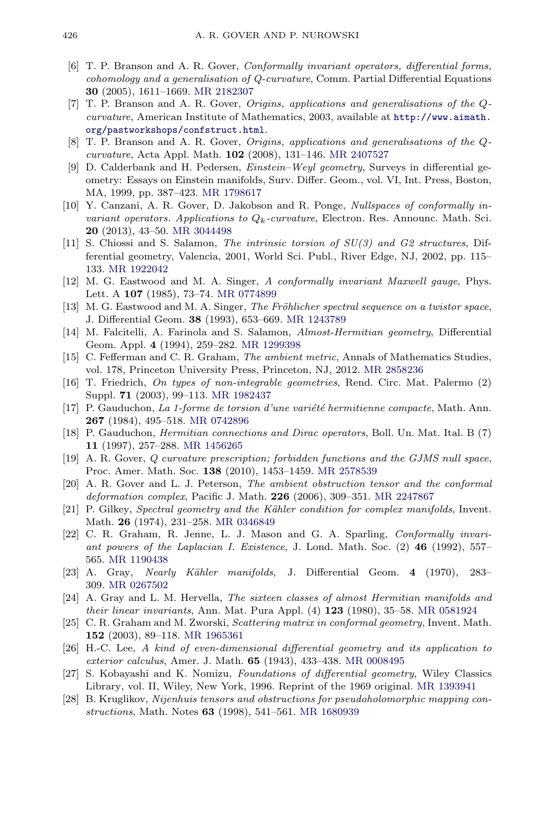- <span id="page-43-0"></span>[6] T. P. Branson and A. R. Gover, Conformally invariant operators, differential forms, cohomology and a generalisation of Q-curvature, Comm. Partial Differential Equations **30** (2005), 1611–1669. [MR 2182307](http://www.ams.org/mathscinet-getitem?mr=2182307)
- [7] T. P. Branson and A. R. Gover, Origins, applications and generalisations of the Qcurvature, American Institute of Mathematics, 2003, available at [http://www.aimath.](http://www.aimath.org/pastworkshops/confstruct.html) [org/pastworkshops/confstruct.html](http://www.aimath.org/pastworkshops/confstruct.html).
- [8] T. P. Branson and A. R. Gover, Origins, applications and generalisations of the Qcurvature, Acta Appl. Math. **102** (2008), 131–146. [MR 2407527](http://www.ams.org/mathscinet-getitem?mr=2407527)
- [9] D. Calderbank and H. Pedersen, *Einstein–Weyl geometry*, Surveys in differential geometry: Essays on Einstein manifolds, Surv. Differ. Geom., vol. VI, Int. Press, Boston, MA, 1999, pp. 387–423. [MR 1798617](http://www.ams.org/mathscinet-getitem?mr=1798617)
- [10] Y. Canzani, A. R. Gover, D. Jakobson and R. Ponge, Nullspaces of conformally invariant operators. Applications to  $Q_k$ -curvature, Electron. Res. Announc. Math. Sci. **20** (2013), 43–50. [MR 3044498](http://www.ams.org/mathscinet-getitem?mr=3044498)
- [11] S. Chiossi and S. Salamon, The intrinsic torsion of SU(3) and G2 structures, Differential geometry, Valencia, 2001, World Sci. Publ., River Edge, NJ, 2002, pp. 115– 133. [MR 1922042](http://www.ams.org/mathscinet-getitem?mr=1922042)
- [12] M. G. Eastwood and M. A. Singer, A conformally invariant Maxwell gauge, Phys. Lett. A **107** (1985), 73–74. [MR 0774899](http://www.ams.org/mathscinet-getitem?mr=0774899)
- [13] M. G. Eastwood and M. A. Singer, The Fröhlicher spectral sequence on a twistor space, J. Differential Geom. **38** (1993), 653–669. [MR 1243789](http://www.ams.org/mathscinet-getitem?mr=1243789)
- [14] M. Falcitelli, A. Farinola and S. Salamon, Almost-Hermitian geometry, Differential Geom. Appl. **4** (1994), 259–282. [MR 1299398](http://www.ams.org/mathscinet-getitem?mr=1299398)
- [15] C. Fefferman and C. R. Graham, The ambient metric, Annals of Mathematics Studies, vol. 178, Princeton University Press, Princeton, NJ, 2012. [MR 2858236](http://www.ams.org/mathscinet-getitem?mr=2858236)
- [16] T. Friedrich, On types of non-integrable geometries, Rend. Circ. Mat. Palermo (2) Suppl. **71** (2003), 99–113. [MR 1982437](http://www.ams.org/mathscinet-getitem?mr=1982437)
- [17] P. Gauduchon, La 1-forme de torsion d'une variété hermitienne compacte, Math. Ann. **267** (1984), 495–518. [MR 0742896](http://www.ams.org/mathscinet-getitem?mr=0742896)
- [18] P. Gauduchon, Hermitian connections and Dirac operators, Boll. Un. Mat. Ital. B (7) **11** (1997), 257–288. [MR 1456265](http://www.ams.org/mathscinet-getitem?mr=1456265)
- [19] A. R. Gover, Q curvature prescription; forbidden functions and the GJMS null space, Proc. Amer. Math. Soc. **138** (2010), 1453–1459. [MR 2578539](http://www.ams.org/mathscinet-getitem?mr=2578539)
- [20] A. R. Gover and L. J. Peterson, The ambient obstruction tensor and the conformal deformation complex, Pacific J. Math. **226** (2006), 309–351. [MR 2247867](http://www.ams.org/mathscinet-getitem?mr=2247867)
- [21] P. Gilkey, Spectral geometry and the Kähler condition for complex manifolds, Invent. Math. **26** (1974), 231–258. [MR 0346849](http://www.ams.org/mathscinet-getitem?mr=0346849)
- [22] C. R. Graham, R. Jenne, L. J. Mason and G. A. Sparling, Conformally invariant powers of the Laplacian I. Existence, J. Lond. Math. Soc. (2) **46** (1992), 557– 565. [MR 1190438](http://www.ams.org/mathscinet-getitem?mr=1190438)
- [23] A. Gray, Nearly Kähler manifolds, J. Differential Geom. **4** (1970), 283– 309. [MR 0267502](http://www.ams.org/mathscinet-getitem?mr=0267502)
- [24] A. Gray and L. M. Hervella, The sixteen classes of almost Hermitian manifolds and their linear invariants, Ann. Mat. Pura Appl. (4) **123** (1980), 35–58. [MR 0581924](http://www.ams.org/mathscinet-getitem?mr=0581924)
- [25] C. R. Graham and M. Zworski, Scattering matrix in conformal geometry, Invent. Math. **152** (2003), 89–118. [MR 1965361](http://www.ams.org/mathscinet-getitem?mr=1965361)
- [26] H.-C. Lee, A kind of even-dimensional differential geometry and its application to exterior calculus, Amer. J. Math. **65** (1943), 433–438. [MR 0008495](http://www.ams.org/mathscinet-getitem?mr=0008495)
- [27] S. Kobayashi and K. Nomizu, Foundations of differential geometry, Wiley Classics Library, vol. II, Wiley, New York, 1996. Reprint of the 1969 original. [MR 1393941](http://www.ams.org/mathscinet-getitem?mr=1393941)
- [28] B. Kruglikov, Nijenhuis tensors and obstructions for pseudoholomorphic mapping constructions, Math. Notes **63** (1998), 541–561. [MR 1680939](http://www.ams.org/mathscinet-getitem?mr=1680939)